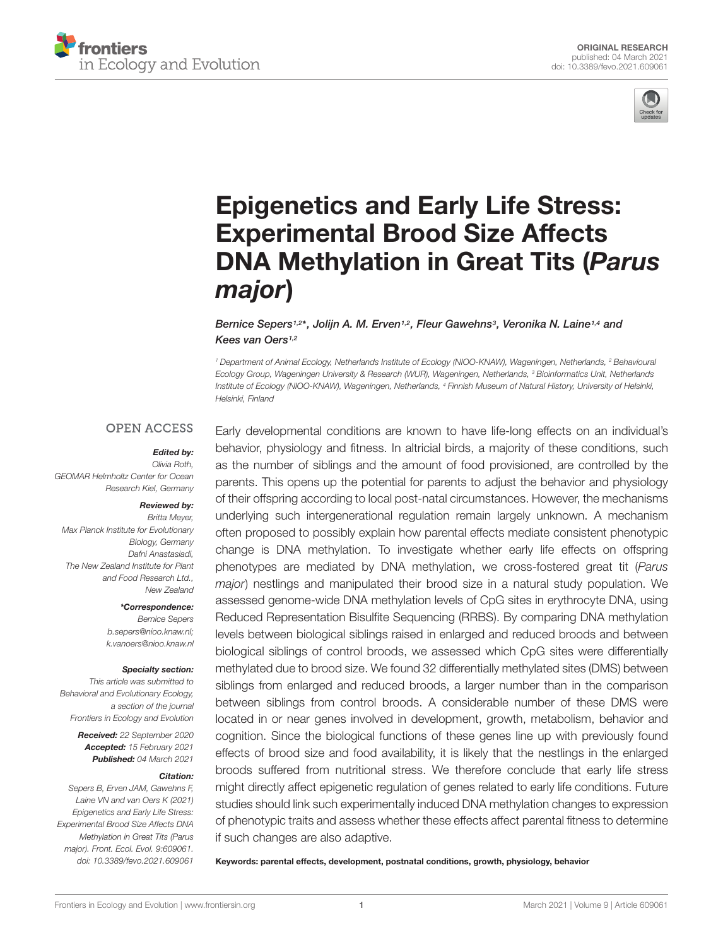



# [Epigenetics and Early Life Stress:](https://www.frontiersin.org/articles/10.3389/fevo.2021.609061/full) Experimental Brood Size Affects DNA Methylation in Great Tits (Parus major)

Bernice Sepers<sup>1,2\*</sup>, Jolijn A. M. Erven<sup>1,2</sup>, Fleur Gawehns<sup>3</sup>, Veronika N. Laine<sup>1,4</sup> and Kees van Oers<sup>1,2</sup>

<sup>1</sup> Department of Animal Ecology, Netherlands Institute of Ecology (NIOO-KNAW), Wageningen, Netherlands, <sup>2</sup> Behavioural Ecology Group, Wageningen University & Research (WUR), Wageningen, Netherlands, <sup>3</sup> Bioinformatics Unit, Netherlands Institute of Ecology (NIOO-KNAW), Wageningen, Netherlands, <sup>4</sup> Finnish Museum of Natural History, University of Helsinki, Helsinki, Finland

### **OPEN ACCESS**

#### Edited by:

Olivia Roth, GEOMAR Helmholtz Center for Ocean Research Kiel, Germany

#### Reviewed by: Britta Meyer,

Max Planck Institute for Evolutionary Biology, Germany Dafni Anastasiadi, The New Zealand Institute for Plant and Food Research Ltd., New Zealand

> \*Correspondence: Bernice Sepers b.sepers@nioo.knaw.nl; k.vanoers@nioo.knaw.nl

#### Specialty section:

This article was submitted to Behavioral and Evolutionary Ecology, a section of the journal Frontiers in Ecology and Evolution

> Received: 22 September 2020 Accepted: 15 February 2021 Published: 04 March 2021

#### Citation:

Sepers B, Erven JAM, Gawehns F, Laine VN and van Oers K (2021) Epigenetics and Early Life Stress: Experimental Brood Size Affects DNA Methylation in Great Tits (Parus major). Front. Ecol. Evol. 9:609061. doi: [10.3389/fevo.2021.609061](https://doi.org/10.3389/fevo.2021.609061)

Early developmental conditions are known to have life-long effects on an individual's behavior, physiology and fitness. In altricial birds, a majority of these conditions, such as the number of siblings and the amount of food provisioned, are controlled by the parents. This opens up the potential for parents to adjust the behavior and physiology of their offspring according to local post-natal circumstances. However, the mechanisms underlying such intergenerational regulation remain largely unknown. A mechanism often proposed to possibly explain how parental effects mediate consistent phenotypic change is DNA methylation. To investigate whether early life effects on offspring phenotypes are mediated by DNA methylation, we cross-fostered great tit (Parus major) nestlings and manipulated their brood size in a natural study population. We assessed genome-wide DNA methylation levels of CpG sites in erythrocyte DNA, using Reduced Representation Bisulfite Sequencing (RRBS). By comparing DNA methylation levels between biological siblings raised in enlarged and reduced broods and between biological siblings of control broods, we assessed which CpG sites were differentially methylated due to brood size. We found 32 differentially methylated sites (DMS) between siblings from enlarged and reduced broods, a larger number than in the comparison between siblings from control broods. A considerable number of these DMS were located in or near genes involved in development, growth, metabolism, behavior and cognition. Since the biological functions of these genes line up with previously found effects of brood size and food availability, it is likely that the nestlings in the enlarged broods suffered from nutritional stress. We therefore conclude that early life stress might directly affect epigenetic regulation of genes related to early life conditions. Future studies should link such experimentally induced DNA methylation changes to expression of phenotypic traits and assess whether these effects affect parental fitness to determine if such changes are also adaptive.

Keywords: parental effects, development, postnatal conditions, growth, physiology, behavior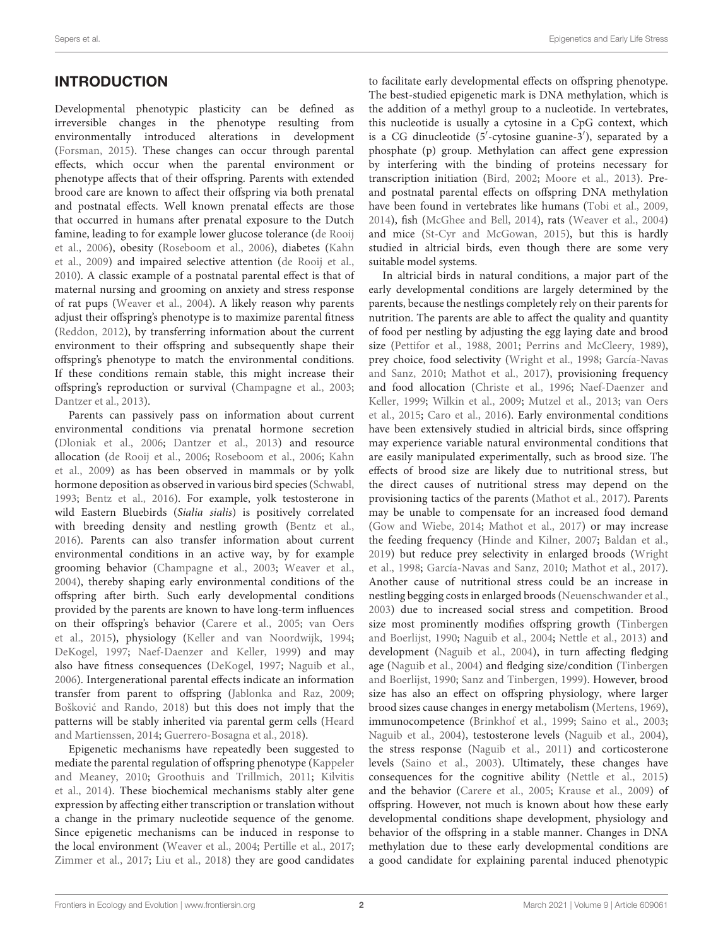Developmental phenotypic plasticity can be defined as irreversible changes in the phenotype resulting from environmentally introduced alterations in development [\(Forsman,](#page-12-0) [2015\)](#page-12-0). These changes can occur through parental effects, which occur when the parental environment or phenotype affects that of their offspring. Parents with extended brood care are known to affect their offspring via both prenatal and postnatal effects. Well known prenatal effects are those that occurred in humans after prenatal exposure to the Dutch famine, leading to for example lower glucose tolerance [\(de Rooij](#page-12-1) [et al.,](#page-12-1) [2006\)](#page-12-1), obesity [\(Roseboom et al.,](#page-13-0) [2006\)](#page-13-0), diabetes [\(Kahn](#page-12-2) [et al.,](#page-12-2) [2009\)](#page-12-2) and impaired selective attention [\(de Rooij et al.,](#page-12-3) [2010\)](#page-12-3). A classic example of a postnatal parental effect is that of maternal nursing and grooming on anxiety and stress response of rat pups [\(Weaver et al.,](#page-14-0) [2004\)](#page-14-0). A likely reason why parents adjust their offspring's phenotype is to maximize parental fitness [\(Reddon,](#page-13-1) [2012\)](#page-13-1), by transferring information about the current environment to their offspring and subsequently shape their offspring's phenotype to match the environmental conditions. If these conditions remain stable, this might increase their offspring's reproduction or survival [\(Champagne et al.,](#page-12-4) [2003;](#page-12-4) [Dantzer et al.,](#page-12-5) [2013\)](#page-12-5).

Parents can passively pass on information about current environmental conditions via prenatal hormone secretion [\(Dloniak et al.,](#page-12-6) [2006;](#page-12-6) [Dantzer et al.,](#page-12-5) [2013\)](#page-12-5) and resource allocation [\(de Rooij et al.,](#page-12-1) [2006;](#page-12-1) [Roseboom et al.,](#page-13-0) [2006;](#page-13-0) [Kahn](#page-12-2) [et al.,](#page-12-2) [2009\)](#page-12-2) as has been observed in mammals or by yolk hormone deposition as observed in various bird species [\(Schwabl,](#page-14-1) [1993;](#page-14-1) [Bentz et al.,](#page-11-0) [2016\)](#page-11-0). For example, yolk testosterone in wild Eastern Bluebirds (Sialia sialis) is positively correlated with breeding density and nestling growth [\(Bentz et al.,](#page-11-0) [2016\)](#page-11-0). Parents can also transfer information about current environmental conditions in an active way, by for example grooming behavior [\(Champagne et al.,](#page-12-4) [2003;](#page-12-4) [Weaver et al.,](#page-14-0) [2004\)](#page-14-0), thereby shaping early environmental conditions of the offspring after birth. Such early developmental conditions provided by the parents are known to have long-term influences on their offspring's behavior [\(Carere et al.,](#page-12-7) [2005;](#page-12-7) [van Oers](#page-14-2) [et al.,](#page-14-2) [2015\)](#page-14-2), physiology [\(Keller and van Noordwijk,](#page-12-8) [1994;](#page-12-8) [DeKogel,](#page-12-9) [1997;](#page-12-9) [Naef-Daenzer and Keller,](#page-13-2) [1999\)](#page-13-2) and may also have fitness consequences [\(DeKogel,](#page-12-9) [1997;](#page-12-9) [Naguib et al.,](#page-13-3) [2006\)](#page-13-3). Intergenerational parental effects indicate an information transfer from parent to offspring [\(Jablonka and Raz,](#page-12-10) [2009;](#page-12-10) Bošković and Rando, [2018\)](#page-11-1) but this does not imply that the patterns will be stably inherited via parental germ cells [\(Heard](#page-12-11) [and Martienssen,](#page-12-11) [2014;](#page-12-11) [Guerrero-Bosagna et al.,](#page-12-12) [2018\)](#page-12-12).

Epigenetic mechanisms have repeatedly been suggested to mediate the parental regulation of offspring phenotype [\(Kappeler](#page-12-13) [and Meaney,](#page-12-13) [2010;](#page-12-13) [Groothuis and Trillmich,](#page-12-14) [2011;](#page-12-14) [Kilvitis](#page-12-15) [et al.,](#page-12-15) [2014\)](#page-12-15). These biochemical mechanisms stably alter gene expression by affecting either transcription or translation without a change in the primary nucleotide sequence of the genome. Since epigenetic mechanisms can be induced in response to the local environment [\(Weaver et al.,](#page-14-0) [2004;](#page-14-0) [Pertille et al.,](#page-13-4) [2017;](#page-13-4) [Zimmer et al.,](#page-14-3) [2017;](#page-14-3) [Liu et al.,](#page-13-5) [2018\)](#page-13-5) they are good candidates

to facilitate early developmental effects on offspring phenotype. The best-studied epigenetic mark is DNA methylation, which is the addition of a methyl group to a nucleotide. In vertebrates, this nucleotide is usually a cytosine in a CpG context, which is a CG dinucleotide (5'-cytosine guanine-3'), separated by a phosphate (p) group. Methylation can affect gene expression by interfering with the binding of proteins necessary for transcription initiation [\(Bird,](#page-11-2) [2002;](#page-11-2) [Moore et al.,](#page-13-6) [2013\)](#page-13-6). Preand postnatal parental effects on offspring DNA methylation have been found in vertebrates like humans [\(Tobi et al.,](#page-14-4) [2009,](#page-14-4) [2014\)](#page-14-5), fish [\(McGhee and Bell,](#page-13-7) [2014\)](#page-13-7), rats [\(Weaver et al.,](#page-14-0) [2004\)](#page-14-0) and mice [\(St-Cyr and McGowan,](#page-14-6) [2015\)](#page-14-6), but this is hardly studied in altricial birds, even though there are some very suitable model systems.

In altricial birds in natural conditions, a major part of the early developmental conditions are largely determined by the parents, because the nestlings completely rely on their parents for nutrition. The parents are able to affect the quality and quantity of food per nestling by adjusting the egg laying date and brood size [\(Pettifor et al.,](#page-13-8) [1988,](#page-13-8) [2001;](#page-13-9) [Perrins and McCleery,](#page-13-10) [1989\)](#page-13-10), prey choice, food selectivity [\(Wright et al.,](#page-14-7) [1998;](#page-14-7) [García-Navas](#page-12-16) [and Sanz,](#page-12-16) [2010;](#page-12-16) [Mathot et al.,](#page-13-11) [2017\)](#page-13-11), provisioning frequency and food allocation [\(Christe et al.,](#page-12-17) [1996;](#page-12-17) [Naef-Daenzer and](#page-13-2) [Keller,](#page-13-2) [1999;](#page-13-2) [Wilkin et al.,](#page-14-8) [2009;](#page-14-8) [Mutzel et al.,](#page-13-12) [2013;](#page-13-12) [van Oers](#page-14-2) [et al.,](#page-14-2) [2015;](#page-14-2) [Caro et al.,](#page-12-18) [2016\)](#page-12-18). Early environmental conditions have been extensively studied in altricial birds, since offspring may experience variable natural environmental conditions that are easily manipulated experimentally, such as brood size. The effects of brood size are likely due to nutritional stress, but the direct causes of nutritional stress may depend on the provisioning tactics of the parents [\(Mathot et al.,](#page-13-11) [2017\)](#page-13-11). Parents may be unable to compensate for an increased food demand [\(Gow and Wiebe,](#page-12-19) [2014;](#page-12-19) [Mathot et al.,](#page-13-11) [2017\)](#page-13-11) or may increase the feeding frequency [\(Hinde and Kilner,](#page-12-20) [2007;](#page-12-20) [Baldan et al.,](#page-11-3) [2019\)](#page-11-3) but reduce prey selectivity in enlarged broods [\(Wright](#page-14-7) [et al.,](#page-14-7) [1998;](#page-14-7) [García-Navas and Sanz,](#page-12-16) [2010;](#page-12-16) [Mathot et al.,](#page-13-11) [2017\)](#page-13-11). Another cause of nutritional stress could be an increase in nestling begging costs in enlarged broods [\(Neuenschwander et al.,](#page-13-13) [2003\)](#page-13-13) due to increased social stress and competition. Brood size most prominently modifies offspring growth [\(Tinbergen](#page-14-9) [and Boerlijst,](#page-14-9) [1990;](#page-14-9) [Naguib et al.,](#page-13-14) [2004;](#page-13-14) [Nettle et al.,](#page-13-15) [2013\)](#page-13-15) and development [\(Naguib et al.,](#page-13-14) [2004\)](#page-13-14), in turn affecting fledging age [\(Naguib et al.,](#page-13-14) [2004\)](#page-13-14) and fledging size/condition [\(Tinbergen](#page-14-9) [and Boerlijst,](#page-14-9) [1990;](#page-14-9) [Sanz and Tinbergen,](#page-13-16) [1999\)](#page-13-16). However, brood size has also an effect on offspring physiology, where larger brood sizes cause changes in energy metabolism [\(Mertens,](#page-13-17) [1969\)](#page-13-17), immunocompetence [\(Brinkhof et al.,](#page-12-21) [1999;](#page-12-21) [Saino et al.,](#page-13-18) [2003;](#page-13-18) [Naguib et al.,](#page-13-14) [2004\)](#page-13-14), testosterone levels [\(Naguib et al.,](#page-13-14) [2004\)](#page-13-14), the stress response [\(Naguib et al.,](#page-13-19) [2011\)](#page-13-19) and corticosterone levels [\(Saino et al.,](#page-13-18) [2003\)](#page-13-18). Ultimately, these changes have consequences for the cognitive ability [\(Nettle et al.,](#page-13-20) [2015\)](#page-13-20) and the behavior [\(Carere et al.,](#page-12-7) [2005;](#page-12-7) [Krause et al.,](#page-13-21) [2009\)](#page-13-21) of offspring. However, not much is known about how these early developmental conditions shape development, physiology and behavior of the offspring in a stable manner. Changes in DNA methylation due to these early developmental conditions are a good candidate for explaining parental induced phenotypic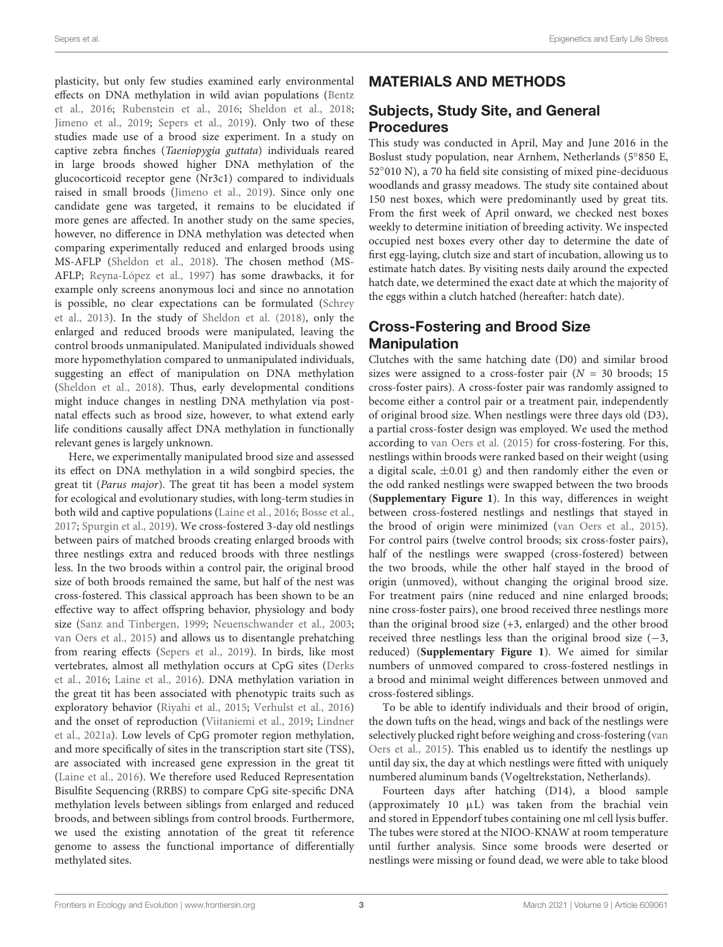plasticity, but only few studies examined early environmental effects on DNA methylation in wild avian populations [\(Bentz](#page-11-0) [et al.,](#page-11-0) [2016;](#page-11-0) [Rubenstein et al.,](#page-13-22) [2016;](#page-13-22) [Sheldon et al.,](#page-14-10) [2018;](#page-14-10) [Jimeno et al.,](#page-12-22) [2019;](#page-12-22) [Sepers et al.,](#page-14-11) [2019\)](#page-14-11). Only two of these studies made use of a brood size experiment. In a study on captive zebra finches (Taeniopygia guttata) individuals reared in large broods showed higher DNA methylation of the glucocorticoid receptor gene (Nr3c1) compared to individuals raised in small broods [\(Jimeno et al.,](#page-12-22) [2019\)](#page-12-22). Since only one candidate gene was targeted, it remains to be elucidated if more genes are affected. In another study on the same species, however, no difference in DNA methylation was detected when comparing experimentally reduced and enlarged broods using MS-AFLP [\(Sheldon et al.,](#page-14-10) [2018\)](#page-14-10). The chosen method (MS-AFLP; [Reyna-López et al.,](#page-13-23) [1997\)](#page-13-23) has some drawbacks, it for example only screens anonymous loci and since no annotation is possible, no clear expectations can be formulated [\(Schrey](#page-13-24) [et al.,](#page-13-24) [2013\)](#page-13-24). In the study of [Sheldon et al.](#page-14-10) [\(2018\)](#page-14-10), only the enlarged and reduced broods were manipulated, leaving the control broods unmanipulated. Manipulated individuals showed more hypomethylation compared to unmanipulated individuals, suggesting an effect of manipulation on DNA methylation [\(Sheldon et al.,](#page-14-10) [2018\)](#page-14-10). Thus, early developmental conditions might induce changes in nestling DNA methylation via postnatal effects such as brood size, however, to what extend early life conditions causally affect DNA methylation in functionally relevant genes is largely unknown.

Here, we experimentally manipulated brood size and assessed its effect on DNA methylation in a wild songbird species, the great tit (Parus major). The great tit has been a model system for ecological and evolutionary studies, with long-term studies in both wild and captive populations [\(Laine et al.,](#page-13-25) [2016;](#page-13-25) [Bosse et al.,](#page-12-23) [2017;](#page-12-23) [Spurgin et al.,](#page-14-12) [2019\)](#page-14-12). We cross-fostered 3-day old nestlings between pairs of matched broods creating enlarged broods with three nestlings extra and reduced broods with three nestlings less. In the two broods within a control pair, the original brood size of both broods remained the same, but half of the nest was cross-fostered. This classical approach has been shown to be an effective way to affect offspring behavior, physiology and body size [\(Sanz and Tinbergen,](#page-13-16) [1999;](#page-13-16) [Neuenschwander et al.,](#page-13-13) [2003;](#page-13-13) [van Oers et al.,](#page-14-2) [2015\)](#page-14-2) and allows us to disentangle prehatching from rearing effects [\(Sepers et al.,](#page-14-11) [2019\)](#page-14-11). In birds, like most vertebrates, almost all methylation occurs at CpG sites [\(Derks](#page-12-24) [et al.,](#page-12-24) [2016;](#page-12-24) [Laine et al.,](#page-13-25) [2016\)](#page-13-25). DNA methylation variation in the great tit has been associated with phenotypic traits such as exploratory behavior [\(Riyahi et al.,](#page-13-26) [2015;](#page-13-26) [Verhulst et al.,](#page-14-13) [2016\)](#page-14-13) and the onset of reproduction [\(Viitaniemi et al.,](#page-14-14) [2019;](#page-14-14) [Lindner](#page-13-27) [et al.,](#page-13-27) [2021a\)](#page-13-27). Low levels of CpG promoter region methylation, and more specifically of sites in the transcription start site (TSS), are associated with increased gene expression in the great tit [\(Laine et al.,](#page-13-25) [2016\)](#page-13-25). We therefore used Reduced Representation Bisulfite Sequencing (RRBS) to compare CpG site-specific DNA methylation levels between siblings from enlarged and reduced broods, and between siblings from control broods. Furthermore, we used the existing annotation of the great tit reference genome to assess the functional importance of differentially methylated sites.

# MATERIALS AND METHODS

# Subjects, Study Site, and General Procedures

This study was conducted in April, May and June 2016 in the Boslust study population, near Arnhem, Netherlands (5◦ 850 E, 52◦ 010 N), a 70 ha field site consisting of mixed pine-deciduous woodlands and grassy meadows. The study site contained about 150 nest boxes, which were predominantly used by great tits. From the first week of April onward, we checked nest boxes weekly to determine initiation of breeding activity. We inspected occupied nest boxes every other day to determine the date of first egg-laying, clutch size and start of incubation, allowing us to estimate hatch dates. By visiting nests daily around the expected hatch date, we determined the exact date at which the majority of the eggs within a clutch hatched (hereafter: hatch date).

# Cross-Fostering and Brood Size **Manipulation**

Clutches with the same hatching date (D0) and similar brood sizes were assigned to a cross-foster pair  $(N = 30 \text{ broods}; 15$ cross-foster pairs). A cross-foster pair was randomly assigned to become either a control pair or a treatment pair, independently of original brood size. When nestlings were three days old (D3), a partial cross-foster design was employed. We used the method according to [van Oers et al.](#page-14-2) [\(2015\)](#page-14-2) for cross-fostering. For this, nestlings within broods were ranked based on their weight (using a digital scale,  $\pm 0.01$  g) and then randomly either the even or the odd ranked nestlings were swapped between the two broods (**[Supplementary Figure 1](#page-11-4)**). In this way, differences in weight between cross-fostered nestlings and nestlings that stayed in the brood of origin were minimized [\(van Oers et al.,](#page-14-2) [2015\)](#page-14-2). For control pairs (twelve control broods; six cross-foster pairs), half of the nestlings were swapped (cross-fostered) between the two broods, while the other half stayed in the brood of origin (unmoved), without changing the original brood size. For treatment pairs (nine reduced and nine enlarged broods; nine cross-foster pairs), one brood received three nestlings more than the original brood size (+3, enlarged) and the other brood received three nestlings less than the original brood size  $(-3)$ , reduced) (**[Supplementary Figure 1](#page-11-4)**). We aimed for similar numbers of unmoved compared to cross-fostered nestlings in a brood and minimal weight differences between unmoved and cross-fostered siblings.

To be able to identify individuals and their brood of origin, the down tufts on the head, wings and back of the nestlings were selectively plucked right before weighing and cross-fostering [\(van](#page-14-2) [Oers et al.,](#page-14-2) [2015\)](#page-14-2). This enabled us to identify the nestlings up until day six, the day at which nestlings were fitted with uniquely numbered aluminum bands (Vogeltrekstation, Netherlands).

Fourteen days after hatching (D14), a blood sample (approximately 10 µL) was taken from the brachial vein and stored in Eppendorf tubes containing one ml cell lysis buffer. The tubes were stored at the NIOO-KNAW at room temperature until further analysis. Since some broods were deserted or nestlings were missing or found dead, we were able to take blood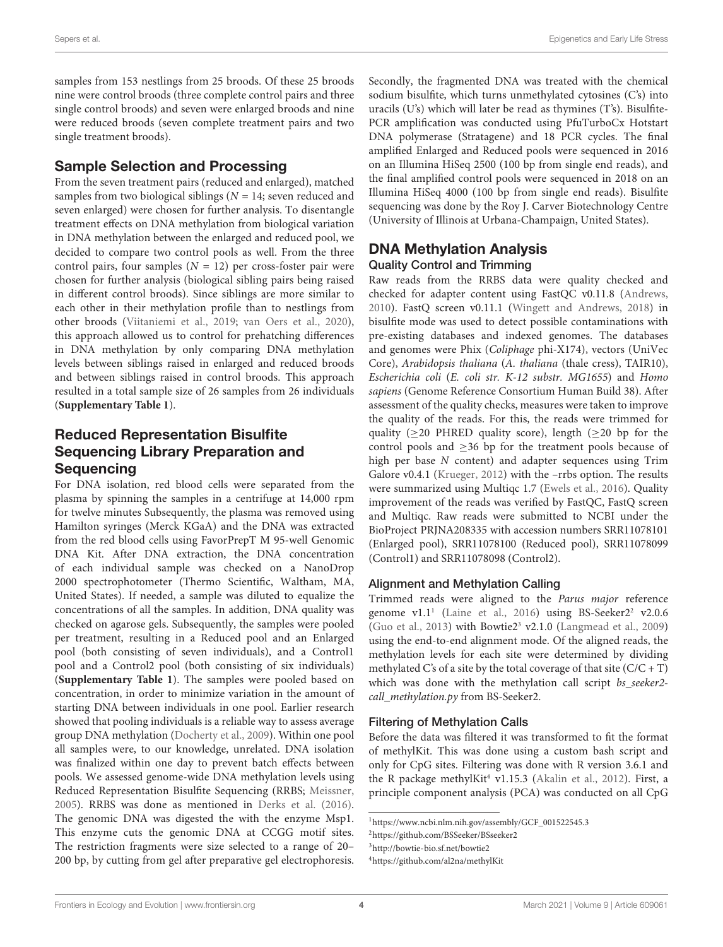samples from 153 nestlings from 25 broods. Of these 25 broods nine were control broods (three complete control pairs and three single control broods) and seven were enlarged broods and nine were reduced broods (seven complete treatment pairs and two single treatment broods).

### Sample Selection and Processing

From the seven treatment pairs (reduced and enlarged), matched samples from two biological siblings ( $N = 14$ ; seven reduced and seven enlarged) were chosen for further analysis. To disentangle treatment effects on DNA methylation from biological variation in DNA methylation between the enlarged and reduced pool, we decided to compare two control pools as well. From the three control pairs, four samples  $(N = 12)$  per cross-foster pair were chosen for further analysis (biological sibling pairs being raised in different control broods). Since siblings are more similar to each other in their methylation profile than to nestlings from other broods [\(Viitaniemi et al.,](#page-14-14) [2019;](#page-14-14) [van Oers et al.,](#page-14-15) [2020\)](#page-14-15), this approach allowed us to control for prehatching differences in DNA methylation by only comparing DNA methylation levels between siblings raised in enlarged and reduced broods and between siblings raised in control broods. This approach resulted in a total sample size of 26 samples from 26 individuals (**[Supplementary Table 1](#page-11-4)**).

# Reduced Representation Bisulfite Sequencing Library Preparation and **Sequencing**

For DNA isolation, red blood cells were separated from the plasma by spinning the samples in a centrifuge at 14,000 rpm for twelve minutes Subsequently, the plasma was removed using Hamilton syringes (Merck KGaA) and the DNA was extracted from the red blood cells using FavorPrepT M 95-well Genomic DNA Kit. After DNA extraction, the DNA concentration of each individual sample was checked on a NanoDrop 2000 spectrophotometer (Thermo Scientific, Waltham, MA, United States). If needed, a sample was diluted to equalize the concentrations of all the samples. In addition, DNA quality was checked on agarose gels. Subsequently, the samples were pooled per treatment, resulting in a Reduced pool and an Enlarged pool (both consisting of seven individuals), and a Control1 pool and a Control2 pool (both consisting of six individuals) (**[Supplementary Table 1](#page-11-4)**). The samples were pooled based on concentration, in order to minimize variation in the amount of starting DNA between individuals in one pool. Earlier research showed that pooling individuals is a reliable way to assess average group DNA methylation [\(Docherty et al.,](#page-12-25) [2009\)](#page-12-25). Within one pool all samples were, to our knowledge, unrelated. DNA isolation was finalized within one day to prevent batch effects between pools. We assessed genome-wide DNA methylation levels using Reduced Representation Bisulfite Sequencing (RRBS; [Meissner,](#page-13-28) [2005\)](#page-13-28). RRBS was done as mentioned in [Derks et al.](#page-12-24) [\(2016\)](#page-12-24). The genomic DNA was digested the with the enzyme Msp1. This enzyme cuts the genomic DNA at CCGG motif sites. The restriction fragments were size selected to a range of 20– 200 bp, by cutting from gel after preparative gel electrophoresis.

Secondly, the fragmented DNA was treated with the chemical sodium bisulfite, which turns unmethylated cytosines (C's) into uracils (U's) which will later be read as thymines (T's). Bisulfite-PCR amplification was conducted using PfuTurboCx Hotstart DNA polymerase (Stratagene) and 18 PCR cycles. The final amplified Enlarged and Reduced pools were sequenced in 2016 on an Illumina HiSeq 2500 (100 bp from single end reads), and the final amplified control pools were sequenced in 2018 on an Illumina HiSeq 4000 (100 bp from single end reads). Bisulfite sequencing was done by the Roy J. Carver Biotechnology Centre (University of Illinois at Urbana-Champaign, United States).

### DNA Methylation Analysis Quality Control and Trimming

Raw reads from the RRBS data were quality checked and checked for adapter content using FastQC v0.11.8 [\(Andrews,](#page-11-5) [2010\)](#page-11-5). FastQ screen v0.11.1 [\(Wingett and Andrews,](#page-14-16) [2018\)](#page-14-16) in bisulfite mode was used to detect possible contaminations with pre-existing databases and indexed genomes. The databases and genomes were Phix (Coliphage phi-X174), vectors (UniVec Core), Arabidopsis thaliana (A. thaliana (thale cress), TAIR10), Escherichia coli (E. coli str. K-12 substr. MG1655) and Homo sapiens (Genome Reference Consortium Human Build 38). After assessment of the quality checks, measures were taken to improve the quality of the reads. For this, the reads were trimmed for quality ( $\geq$ 20 PHRED quality score), length ( $\geq$ 20 bp for the control pools and  $\geq$ 36 bp for the treatment pools because of high per base N content) and adapter sequences using Trim Galore v0.4.1 [\(Krueger,](#page-13-29) [2012\)](#page-13-29) with the –rrbs option. The results were summarized using Multiqc 1.7 [\(Ewels et al.,](#page-12-26) [2016\)](#page-12-26). Quality improvement of the reads was verified by FastQC, FastQ screen and Multiqc. Raw reads were submitted to NCBI under the BioProject PRJNA208335 with accession numbers SRR11078101 (Enlarged pool), SRR11078100 (Reduced pool), SRR11078099 (Control1) and SRR11078098 (Control2).

### Alignment and Methylation Calling

Trimmed reads were aligned to the Parus major reference genome  $v1.1<sup>1</sup>$  $v1.1<sup>1</sup>$  $v1.1<sup>1</sup>$  [\(Laine et al.,](#page-13-25) [2016\)](#page-13-25) using BS-Seeker[2](#page-3-1)<sup>2</sup> v2.0.6 [\(Guo et al.,](#page-12-27) [2013\)](#page-12-27) with Bowtie $2<sup>3</sup>$  $2<sup>3</sup>$  $2<sup>3</sup>$  v2.1.0 [\(Langmead et al.,](#page-13-30) [2009\)](#page-13-30) using the end-to-end alignment mode. Of the aligned reads, the methylation levels for each site were determined by dividing methylated C's of a site by the total coverage of that site  $(C/C + T)$ which was done with the methylation call script bs seeker2call\_methylation.py from BS-Seeker2.

### Filtering of Methylation Calls

Before the data was filtered it was transformed to fit the format of methylKit. This was done using a custom bash script and only for CpG sites. Filtering was done with R version 3.6.1 and the R package methylKit<sup>[4](#page-3-3)</sup> v1.15.3 [\(Akalin et al.,](#page-11-6) [2012\)](#page-11-6). First, a principle component analysis (PCA) was conducted on all CpG

<span id="page-3-0"></span><sup>1</sup>[https://www.ncbi.nlm.nih.gov/assembly/GCF\\_001522545.3](https://www.ncbi.nlm.nih.gov/assembly/GCF_001522545.3)

<span id="page-3-1"></span><sup>2</sup><https://github.com/BSSeeker/BSseeker2>

<span id="page-3-2"></span><sup>3</sup><http://bowtie-bio.sf.net/bowtie2>

<span id="page-3-3"></span><sup>4</sup><https://github.com/al2na/methylKit>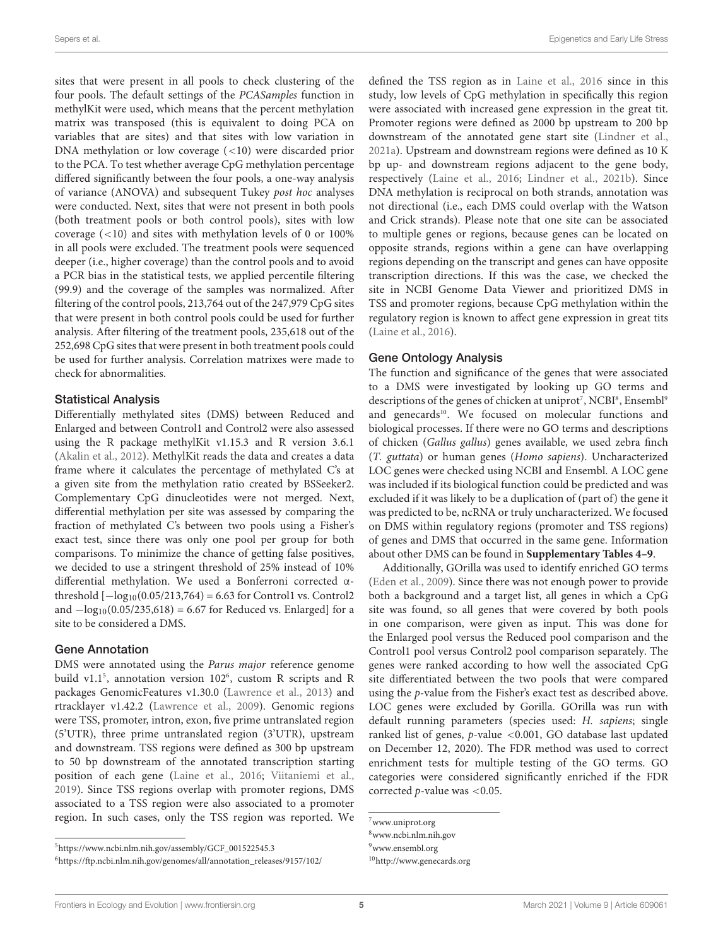sites that were present in all pools to check clustering of the four pools. The default settings of the PCASamples function in methylKit were used, which means that the percent methylation matrix was transposed (this is equivalent to doing PCA on variables that are sites) and that sites with low variation in DNA methylation or low coverage (<10) were discarded prior to the PCA. To test whether average CpG methylation percentage differed significantly between the four pools, a one-way analysis of variance (ANOVA) and subsequent Tukey post hoc analyses were conducted. Next, sites that were not present in both pools (both treatment pools or both control pools), sites with low coverage (<10) and sites with methylation levels of 0 or 100% in all pools were excluded. The treatment pools were sequenced deeper (i.e., higher coverage) than the control pools and to avoid a PCR bias in the statistical tests, we applied percentile filtering (99.9) and the coverage of the samples was normalized. After filtering of the control pools, 213,764 out of the 247,979 CpG sites that were present in both control pools could be used for further analysis. After filtering of the treatment pools, 235,618 out of the 252,698 CpG sites that were present in both treatment pools could be used for further analysis. Correlation matrixes were made to check for abnormalities.

#### Statistical Analysis

Differentially methylated sites (DMS) between Reduced and Enlarged and between Control1 and Control2 were also assessed using the R package methylKit v1.15.3 and R version 3.6.1 [\(Akalin et al.,](#page-11-6) [2012\)](#page-11-6). MethylKit reads the data and creates a data frame where it calculates the percentage of methylated C's at a given site from the methylation ratio created by BSSeeker2. Complementary CpG dinucleotides were not merged. Next, differential methylation per site was assessed by comparing the fraction of methylated C's between two pools using a Fisher's exact test, since there was only one pool per group for both comparisons. To minimize the chance of getting false positives, we decided to use a stringent threshold of 25% instead of 10% differential methylation. We used a Bonferroni corrected αthreshold  $[-\log_{10}(0.05/213,764) = 6.63$  for Control1 vs. Control2 and  $-\log_{10}(0.05/235,618) = 6.67$  for Reduced vs. Enlarged] for a site to be considered a DMS.

#### Gene Annotation

DMS were annotated using the Parus major reference genome build v1.1<sup>[5](#page-4-0)</sup>, annotation version 102<sup>[6](#page-4-1)</sup>, custom R scripts and R packages GenomicFeatures v1.30.0 [\(Lawrence et al.,](#page-13-31) [2013\)](#page-13-31) and rtracklayer v1.42.2 [\(Lawrence et al.,](#page-13-32) [2009\)](#page-13-32). Genomic regions were TSS, promoter, intron, exon, five prime untranslated region (5'UTR), three prime untranslated region (3'UTR), upstream and downstream. TSS regions were defined as 300 bp upstream to 50 bp downstream of the annotated transcription starting position of each gene [\(Laine et al.,](#page-13-25) [2016;](#page-13-25) [Viitaniemi et al.,](#page-14-14) [2019\)](#page-14-14). Since TSS regions overlap with promoter regions, DMS associated to a TSS region were also associated to a promoter region. In such cases, only the TSS region was reported. We defined the TSS region as in [Laine et al.,](#page-13-25) [2016](#page-13-25) since in this study, low levels of CpG methylation in specifically this region were associated with increased gene expression in the great tit. Promoter regions were defined as 2000 bp upstream to 200 bp downstream of the annotated gene start site [\(Lindner et al.,](#page-13-27) [2021a\)](#page-13-27). Upstream and downstream regions were defined as 10 K bp up- and downstream regions adjacent to the gene body, respectively [\(Laine et al.,](#page-13-25) [2016;](#page-13-25) [Lindner et al.,](#page-13-33) [2021b\)](#page-13-33). Since DNA methylation is reciprocal on both strands, annotation was not directional (i.e., each DMS could overlap with the Watson and Crick strands). Please note that one site can be associated to multiple genes or regions, because genes can be located on opposite strands, regions within a gene can have overlapping regions depending on the transcript and genes can have opposite transcription directions. If this was the case, we checked the site in NCBI Genome Data Viewer and prioritized DMS in TSS and promoter regions, because CpG methylation within the regulatory region is known to affect gene expression in great tits [\(Laine et al.,](#page-13-25) [2016\)](#page-13-25).

#### Gene Ontology Analysis

The function and significance of the genes that were associated to a DMS were investigated by looking up GO terms and descriptions of the genes of chicken at uniprot<sup>[7](#page-4-2)</sup>, NCBI<sup>[8](#page-4-3)</sup>, Ensembl<sup>[9](#page-4-4)</sup> and genecards<sup>[10](#page-4-5)</sup>. We focused on molecular functions and biological processes. If there were no GO terms and descriptions of chicken (Gallus gallus) genes available, we used zebra finch (T. guttata) or human genes (Homo sapiens). Uncharacterized LOC genes were checked using NCBI and Ensembl. A LOC gene was included if its biological function could be predicted and was excluded if it was likely to be a duplication of (part of) the gene it was predicted to be, ncRNA or truly uncharacterized. We focused on DMS within regulatory regions (promoter and TSS regions) of genes and DMS that occurred in the same gene. Information about other DMS can be found in **[Supplementary Tables 4–9](#page-11-4)**.

Additionally, GOrilla was used to identify enriched GO terms [\(Eden et al.,](#page-12-28) [2009\)](#page-12-28). Since there was not enough power to provide both a background and a target list, all genes in which a CpG site was found, so all genes that were covered by both pools in one comparison, were given as input. This was done for the Enlarged pool versus the Reduced pool comparison and the Control1 pool versus Control2 pool comparison separately. The genes were ranked according to how well the associated CpG site differentiated between the two pools that were compared using the p-value from the Fisher's exact test as described above. LOC genes were excluded by Gorilla. GOrilla was run with default running parameters (species used: H. sapiens; single ranked list of genes, p-value <0.001, GO database last updated on December 12, 2020). The FDR method was used to correct enrichment tests for multiple testing of the GO terms. GO categories were considered significantly enriched if the FDR corrected  $p$ -value was <0.05.

<span id="page-4-0"></span><sup>5</sup>[https://www.ncbi.nlm.nih.gov/assembly/GCF\\_001522545.3](https://www.ncbi.nlm.nih.gov/assembly/GCF_001522545.3)

<span id="page-4-1"></span><sup>6</sup>[https://ftp.ncbi.nlm.nih.gov/genomes/all/annotation\\_releases/9157/102/](https://ftp.ncbi.nlm.nih.gov/genomes/all/annotation_releases/9157/102/)

<span id="page-4-2"></span><sup>7</sup>[www.uniprot.org](http://www.uniprot.org)

<span id="page-4-3"></span><sup>8</sup>[www.ncbi.nlm.nih.gov](http://www.ncbi.nlm.nih.gov)

<span id="page-4-4"></span><sup>9</sup>[www.ensembl.org](http://www.ensembl.org)

<span id="page-4-5"></span><sup>10</sup><http://www.genecards.org>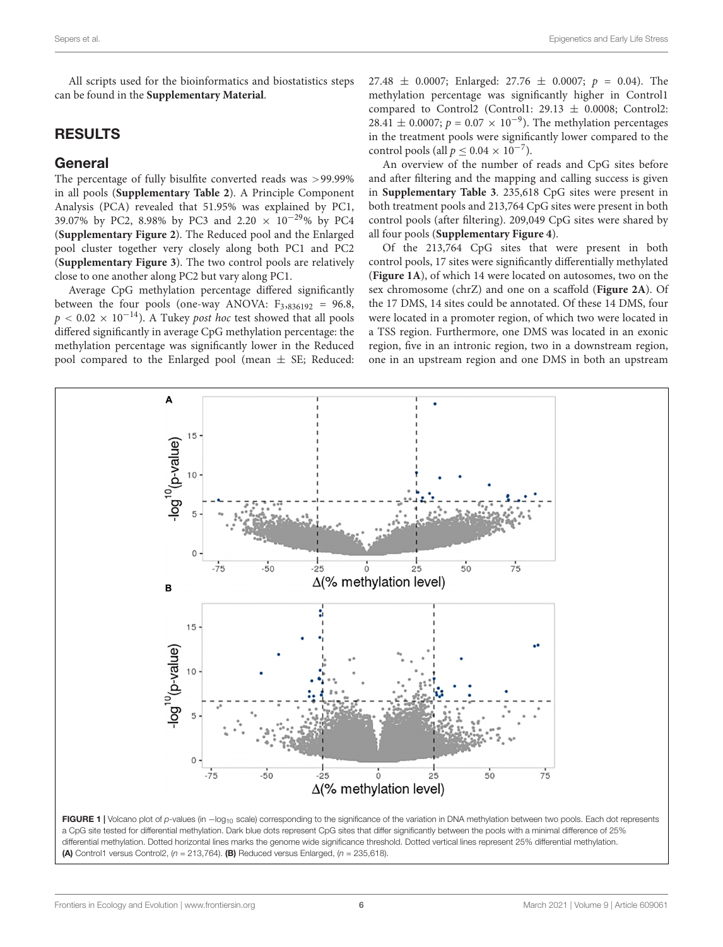All scripts used for the bioinformatics and biostatistics steps can be found in the **[Supplementary Material](#page-11-4)**.

### RESULTS

### General

The percentage of fully bisulfite converted reads was >99.99% in all pools (**[Supplementary Table 2](#page-11-4)**). A Principle Component Analysis (PCA) revealed that 51.95% was explained by PC1, 39.07% by PC2, 8.98% by PC3 and 2.20 × 10−29% by PC4 (**[Supplementary Figure 2](#page-11-4)**). The Reduced pool and the Enlarged pool cluster together very closely along both PC1 and PC2 (**[Supplementary Figure 3](#page-11-4)**). The two control pools are relatively close to one another along PC2 but vary along PC1.

Average CpG methylation percentage differed significantly between the four pools (one-way ANOVA:  $F_{3,836192} = 96.8$ ,  $p < 0.02 \times 10^{-14}$ ). A Tukey *post hoc* test showed that all pools differed significantly in average CpG methylation percentage: the methylation percentage was significantly lower in the Reduced pool compared to the Enlarged pool (mean  $\pm$  SE; Reduced: 27.48  $\pm$  0.0007; Enlarged: 27.76  $\pm$  0.0007;  $p = 0.04$ ). The methylation percentage was significantly higher in Control1 compared to Control2 (Control1:  $29.13 \pm 0.0008$ ; Control2: 28.41 ± 0.0007;  $p = 0.07 \times 10^{-9}$ ). The methylation percentages in the treatment pools were significantly lower compared to the control pools (all  $p \leq 0.04 \times 10^{-7}$ ).

An overview of the number of reads and CpG sites before and after filtering and the mapping and calling success is given in **[Supplementary Table 3](#page-11-4)**. 235,618 CpG sites were present in both treatment pools and 213,764 CpG sites were present in both control pools (after filtering). 209,049 CpG sites were shared by all four pools (**[Supplementary Figure 4](#page-11-4)**).

Of the 213,764 CpG sites that were present in both control pools, 17 sites were significantly differentially methylated (**[Figure 1A](#page-5-0)**), of which 14 were located on autosomes, two on the sex chromosome (chrZ) and one on a scaffold (**[Figure 2A](#page-6-0)**). Of the 17 DMS, 14 sites could be annotated. Of these 14 DMS, four were located in a promoter region, of which two were located in a TSS region. Furthermore, one DMS was located in an exonic region, five in an intronic region, two in a downstream region, one in an upstream region and one DMS in both an upstream



<span id="page-5-0"></span>(A) Control1 versus Control2,  $(n = 213,764)$ . (B) Reduced versus Enlarged,  $(n = 235,618)$ .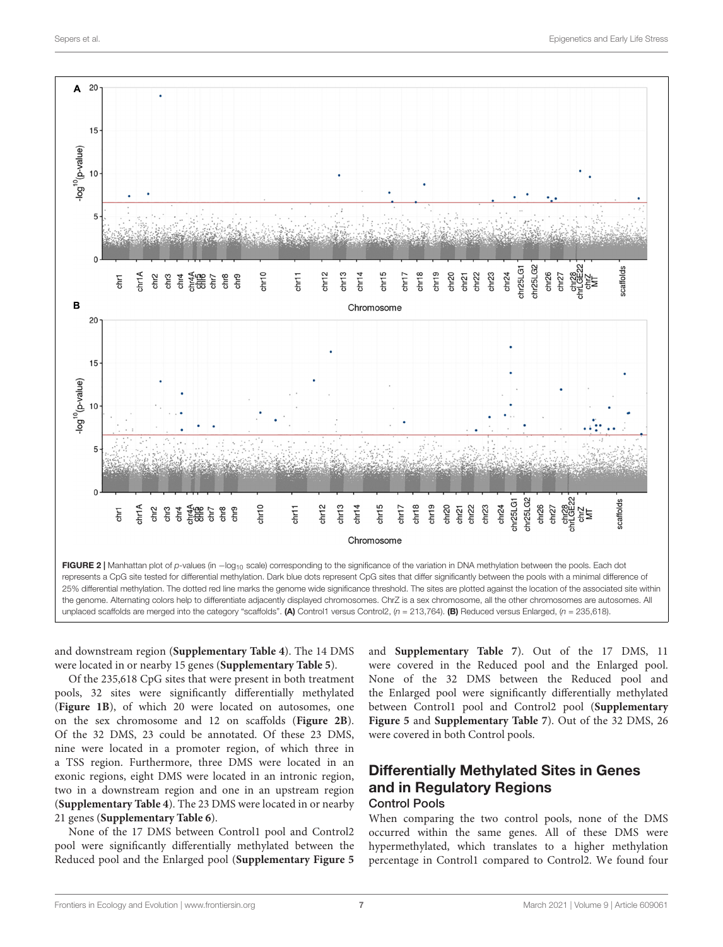

<span id="page-6-0"></span>and downstream region (**[Supplementary Table 4](#page-11-4)**). The 14 DMS were located in or nearby 15 genes (**[Supplementary Table 5](#page-11-4)**).

Of the 235,618 CpG sites that were present in both treatment pools, 32 sites were significantly differentially methylated (**[Figure 1B](#page-5-0)**), of which 20 were located on autosomes, one on the sex chromosome and 12 on scaffolds (**[Figure 2B](#page-6-0)**). Of the 32 DMS, 23 could be annotated. Of these 23 DMS, nine were located in a promoter region, of which three in a TSS region. Furthermore, three DMS were located in an exonic regions, eight DMS were located in an intronic region, two in a downstream region and one in an upstream region (**[Supplementary Table 4](#page-11-4)**). The 23 DMS were located in or nearby 21 genes (**[Supplementary Table 6](#page-11-4)**).

None of the 17 DMS between Control1 pool and Control2 pool were significantly differentially methylated between the Reduced pool and the Enlarged pool (**[Supplementary Figure 5](#page-11-4)**

and **[Supplementary Table 7](#page-11-4)**). Out of the 17 DMS, 11 were covered in the Reduced pool and the Enlarged pool. None of the 32 DMS between the Reduced pool and the Enlarged pool were significantly differentially methylated between Control1 pool and Control2 pool (**[Supplementary](#page-11-4) [Figure 5](#page-11-4)** and **[Supplementary Table 7](#page-11-4)**). Out of the 32 DMS, 26 were covered in both Control pools.

### Differentially Methylated Sites in Genes and in Regulatory Regions Control Pools

When comparing the two control pools, none of the DMS occurred within the same genes. All of these DMS were hypermethylated, which translates to a higher methylation percentage in Control1 compared to Control2. We found four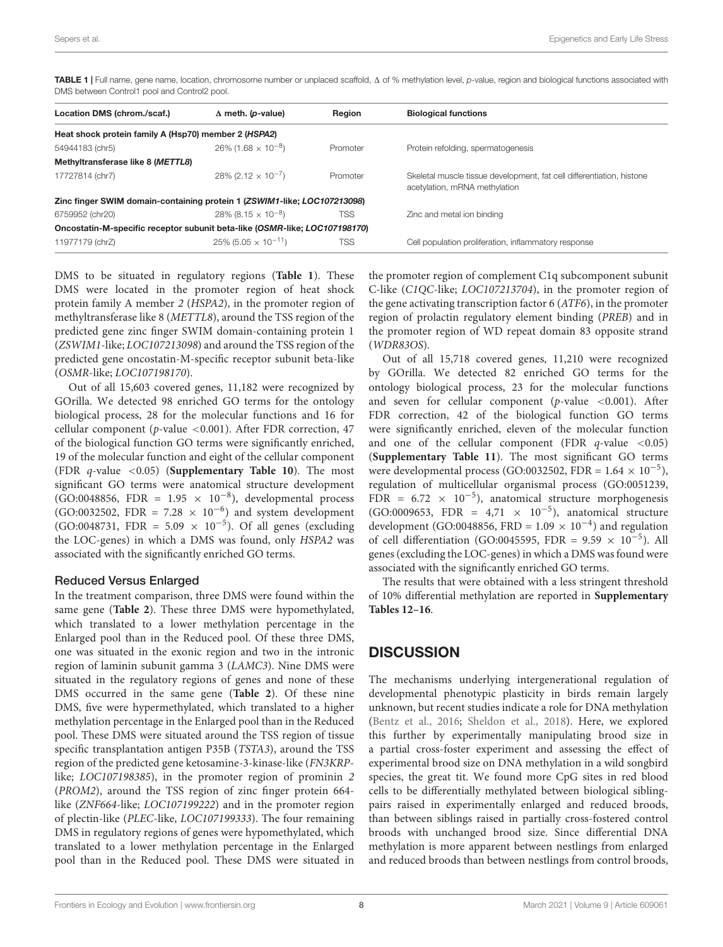<span id="page-7-0"></span>TABLE 1 | Full name, gene name, location, chromosome number or unplaced scaffold,  $\Delta$  of % methylation level, p-value, region and biological functions associated with DMS between Control1 pool and Control2 pool.

| Location DMS (chrom./scaf.)                                                | $\Delta$ meth. ( <i>p</i> -value)         | Region     | <b>Biological functions</b>                                                                            |
|----------------------------------------------------------------------------|-------------------------------------------|------------|--------------------------------------------------------------------------------------------------------|
| Heat shock protein family A (Hsp70) member 2 (HSPA2)                       |                                           |            |                                                                                                        |
| 54944183 (chr5)                                                            | $26\%$ (1.68 $\times$ 10 <sup>-8</sup> )  | Promoter   | Protein refolding, spermatogenesis                                                                     |
| Methyltransferase like 8 (METTL8)                                          |                                           |            |                                                                                                        |
| 17727814 (chr7)                                                            | $28\%$ (2.12 $\times$ 10 <sup>-7</sup> )  | Promoter   | Skeletal muscle tissue development, fat cell differentiation, histone<br>acetylation, mRNA methylation |
| Zinc finger SWIM domain-containing protein 1 (ZSWIM1-like; LOC107213098)   |                                           |            |                                                                                                        |
| 6759952 (chr20)                                                            | $28\%$ (8.15 $\times$ 10 <sup>-8</sup> )  | TSS        | Zinc and metal ion binding                                                                             |
| Oncostatin-M-specific receptor subunit beta-like (OSMR-like; LOC107198170) |                                           |            |                                                                                                        |
| 11977179 (chrZ)                                                            | $25\%$ (5.05 $\times$ 10 <sup>-11</sup> ) | <b>TSS</b> | Cell population proliferation, inflammatory response                                                   |

DMS to be situated in regulatory regions (**[Table 1](#page-7-0)**). These DMS were located in the promoter region of heat shock protein family A member 2 (HSPA2), in the promoter region of methyltransferase like 8 (METTL8), around the TSS region of the predicted gene zinc finger SWIM domain-containing protein 1 (ZSWIM1-like; LOC107213098) and around the TSS region of the predicted gene oncostatin-M-specific receptor subunit beta-like (OSMR-like; LOC107198170).

Out of all 15,603 covered genes, 11,182 were recognized by GOrilla. We detected 98 enriched GO terms for the ontology biological process, 28 for the molecular functions and 16 for cellular component (p-value <0.001). After FDR correction,  $47$ of the biological function GO terms were significantly enriched, 19 of the molecular function and eight of the cellular component (FDR q-value <0.05) (**[Supplementary Table 10](#page-11-4)**). The most significant GO terms were anatomical structure development (GO:0048856, FDR =  $1.95 \times 10^{-8}$ ), developmental process (GO:0032502, FDR = 7.28  $\times$  10<sup>-6</sup>) and system development (GO:0048731, FDR =  $5.09 \times 10^{-5}$ ). Of all genes (excluding the LOC-genes) in which a DMS was found, only HSPA2 was associated with the significantly enriched GO terms.

#### Reduced Versus Enlarged

In the treatment comparison, three DMS were found within the same gene (**[Table 2](#page-8-0)**). These three DMS were hypomethylated, which translated to a lower methylation percentage in the Enlarged pool than in the Reduced pool. Of these three DMS, one was situated in the exonic region and two in the intronic region of laminin subunit gamma 3 (LAMC3). Nine DMS were situated in the regulatory regions of genes and none of these DMS occurred in the same gene (**[Table 2](#page-8-0)**). Of these nine DMS, five were hypermethylated, which translated to a higher methylation percentage in the Enlarged pool than in the Reduced pool. These DMS were situated around the TSS region of tissue specific transplantation antigen P35B (TSTA3), around the TSS region of the predicted gene ketosamine-3-kinase-like (FN3KRPlike; LOC107198385), in the promoter region of prominin 2 (PROM2), around the TSS region of zinc finger protein 664 like (ZNF664-like; LOC107199222) and in the promoter region of plectin-like (PLEC-like, LOC107199333). The four remaining DMS in regulatory regions of genes were hypomethylated, which translated to a lower methylation percentage in the Enlarged pool than in the Reduced pool. These DMS were situated in

the promoter region of complement C1q subcomponent subunit C-like (C1QC-like; LOC107213704), in the promoter region of the gene activating transcription factor 6 (ATF6), in the promoter region of prolactin regulatory element binding (PREB) and in the promoter region of WD repeat domain 83 opposite strand (WDR83OS).

Out of all 15,718 covered genes, 11,210 were recognized by GOrilla. We detected 82 enriched GO terms for the ontology biological process, 23 for the molecular functions and seven for cellular component ( $p$ -value <0.001). After FDR correction, 42 of the biological function GO terms were significantly enriched, eleven of the molecular function and one of the cellular component (FDR  $q$ -value <0.05) (**[Supplementary Table 11](#page-11-4)**). The most significant GO terms were developmental process (GO:0032502, FDR =  $1.64 \times 10^{-5}$ ), regulation of multicellular organismal process (GO:0051239, FDR =  $6.72 \times 10^{-5}$ ), anatomical structure morphogenesis (GO:0009653, FDR =  $4,71 \times 10^{-5}$ ), anatomical structure development (GO:0048856, FRD =  $1.09 \times 10^{-4}$ ) and regulation of cell differentiation (GO:0045595, FDR =  $9.59 \times 10^{-5}$ ). All genes (excluding the LOC-genes) in which a DMS was found were associated with the significantly enriched GO terms.

The results that were obtained with a less stringent threshold of 10% differential methylation are reported in **[Supplementary](#page-11-4) [Tables 12–16](#page-11-4)**.

### **DISCUSSION**

The mechanisms underlying intergenerational regulation of developmental phenotypic plasticity in birds remain largely unknown, but recent studies indicate a role for DNA methylation [\(Bentz et al.,](#page-11-0) [2016;](#page-11-0) [Sheldon et al.,](#page-14-10) [2018\)](#page-14-10). Here, we explored this further by experimentally manipulating brood size in a partial cross-foster experiment and assessing the effect of experimental brood size on DNA methylation in a wild songbird species, the great tit. We found more CpG sites in red blood cells to be differentially methylated between biological siblingpairs raised in experimentally enlarged and reduced broods, than between siblings raised in partially cross-fostered control broods with unchanged brood size. Since differential DNA methylation is more apparent between nestlings from enlarged and reduced broods than between nestlings from control broods,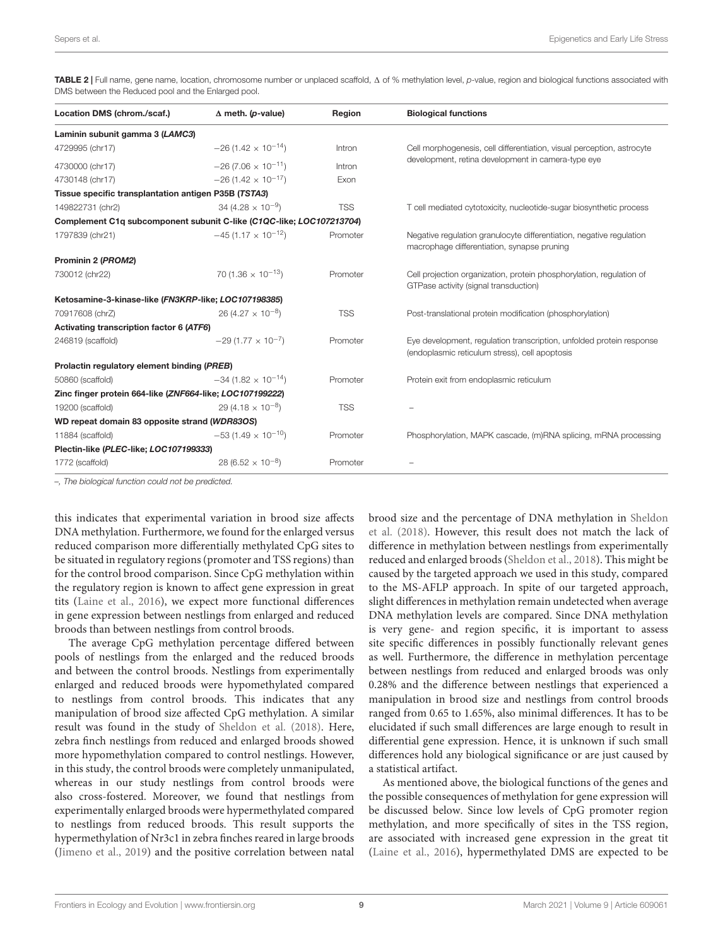<span id="page-8-0"></span>TABLE 2 | Full name, gene name, location, chromosome number or unplaced scaffold,  $\Delta$  of % methylation level, p-value, region and biological functions associated with DMS between the Reduced pool and the Enlarged pool.

| Location DMS (chrom./scaf.)                                          | $\Delta$ meth. (p-value)             | Region     | <b>Biological functions</b>                                                                                                  |
|----------------------------------------------------------------------|--------------------------------------|------------|------------------------------------------------------------------------------------------------------------------------------|
| Laminin subunit gamma 3 (LAMC3)                                      |                                      |            |                                                                                                                              |
| 4729995 (chr17)                                                      | $-26(1.42 \times 10^{-14})$          | Intron     | Cell morphogenesis, cell differentiation, visual perception, astrocyte<br>development, retina development in camera-type eye |
| 4730000 (chr17)                                                      | $-26(7.06 \times 10^{-11})$          | Intron     |                                                                                                                              |
| 4730148 (chr17)                                                      | $-26(1.42 \times 10^{-17})$          | Exon       |                                                                                                                              |
| Tissue specific transplantation antigen P35B (TSTA3)                 |                                      |            |                                                                                                                              |
| 149822731 (chr2)                                                     | 34 (4.28 $\times$ 10 <sup>-9</sup> ) | <b>TSS</b> | T cell mediated cytotoxicity, nucleotide-sugar biosynthetic process                                                          |
| Complement C1q subcomponent subunit C-like (C1QC-like; LOC107213704) |                                      |            |                                                                                                                              |
| 1797839 (chr21)                                                      | $-45(1.17 \times 10^{-12})$          | Promoter   | Negative regulation granulocyte differentiation, negative regulation<br>macrophage differentiation, synapse pruning          |
| Prominin 2 (PROM2)                                                   |                                      |            |                                                                                                                              |
| 730012 (chr22)                                                       | $70(1.36 \times 10^{-13})$           | Promoter   | Cell projection organization, protein phosphorylation, regulation of<br>GTPase activity (signal transduction)                |
| Ketosamine-3-kinase-like (FN3KRP-like; LOC107198385)                 |                                      |            |                                                                                                                              |
| 70917608 (chrZ)                                                      | $26(4.27 \times 10^{-8})$            | <b>TSS</b> | Post-translational protein modification (phosphorylation)                                                                    |
| Activating transcription factor 6 (ATF6)                             |                                      |            |                                                                                                                              |
| 246819 (scaffold)                                                    | $-29(1.77 \times 10^{-7})$           | Promoter   | Eye development, regulation transcription, unfolded protein response<br>(endoplasmic reticulum stress), cell apoptosis       |
| Prolactin regulatory element binding (PREB)                          |                                      |            |                                                                                                                              |
| 50860 (scaffold)                                                     | $-34(1.82 \times 10^{-14})$          | Promoter   | Protein exit from endoplasmic reticulum                                                                                      |
| Zinc finger protein 664-like (ZNF664-like; LOC107199222)             |                                      |            |                                                                                                                              |
| 19200 (scaffold)                                                     | 29 (4.18 $\times$ 10 <sup>-8</sup> ) | <b>TSS</b> |                                                                                                                              |
| WD repeat domain 83 opposite strand (WDR83OS)                        |                                      |            |                                                                                                                              |
| 11884 (scaffold)                                                     | $-53(1.49 \times 10^{-10})$          | Promoter   | Phosphorylation, MAPK cascade, (m)RNA splicing, mRNA processing                                                              |
| Plectin-like (PLEC-like; LOC107199333)                               |                                      |            |                                                                                                                              |
| 1772 (scaffold)                                                      | $28(6.52 \times 10^{-8})$            | Promoter   |                                                                                                                              |

–, The biological function could not be predicted.

this indicates that experimental variation in brood size affects DNA methylation. Furthermore, we found for the enlarged versus reduced comparison more differentially methylated CpG sites to be situated in regulatory regions (promoter and TSS regions) than for the control brood comparison. Since CpG methylation within the regulatory region is known to affect gene expression in great tits [\(Laine et al.,](#page-13-25) [2016\)](#page-13-25), we expect more functional differences in gene expression between nestlings from enlarged and reduced broods than between nestlings from control broods.

The average CpG methylation percentage differed between pools of nestlings from the enlarged and the reduced broods and between the control broods. Nestlings from experimentally enlarged and reduced broods were hypomethylated compared to nestlings from control broods. This indicates that any manipulation of brood size affected CpG methylation. A similar result was found in the study of [Sheldon et al.](#page-14-10) [\(2018\)](#page-14-10). Here, zebra finch nestlings from reduced and enlarged broods showed more hypomethylation compared to control nestlings. However, in this study, the control broods were completely unmanipulated, whereas in our study nestlings from control broods were also cross-fostered. Moreover, we found that nestlings from experimentally enlarged broods were hypermethylated compared to nestlings from reduced broods. This result supports the hypermethylation of Nr3c1 in zebra finches reared in large broods [\(Jimeno et al.,](#page-12-22) [2019\)](#page-12-22) and the positive correlation between natal

brood size and the percentage of DNA methylation in [Sheldon](#page-14-10) [et al.](#page-14-10) [\(2018\)](#page-14-10). However, this result does not match the lack of difference in methylation between nestlings from experimentally reduced and enlarged broods [\(Sheldon et al.,](#page-14-10) [2018\)](#page-14-10). This might be caused by the targeted approach we used in this study, compared to the MS-AFLP approach. In spite of our targeted approach, slight differences in methylation remain undetected when average DNA methylation levels are compared. Since DNA methylation is very gene- and region specific, it is important to assess site specific differences in possibly functionally relevant genes as well. Furthermore, the difference in methylation percentage between nestlings from reduced and enlarged broods was only 0.28% and the difference between nestlings that experienced a manipulation in brood size and nestlings from control broods ranged from 0.65 to 1.65%, also minimal differences. It has to be elucidated if such small differences are large enough to result in differential gene expression. Hence, it is unknown if such small differences hold any biological significance or are just caused by a statistical artifact.

As mentioned above, the biological functions of the genes and the possible consequences of methylation for gene expression will be discussed below. Since low levels of CpG promoter region methylation, and more specifically of sites in the TSS region, are associated with increased gene expression in the great tit [\(Laine et al.,](#page-13-25) [2016\)](#page-13-25), hypermethylated DMS are expected to be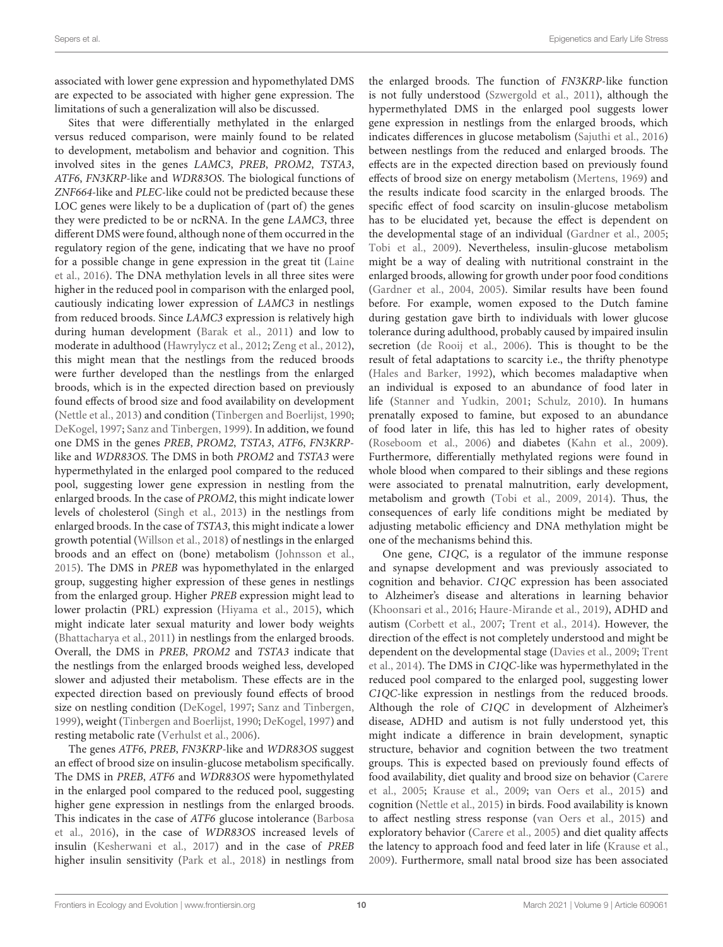associated with lower gene expression and hypomethylated DMS are expected to be associated with higher gene expression. The limitations of such a generalization will also be discussed.

Sites that were differentially methylated in the enlarged versus reduced comparison, were mainly found to be related to development, metabolism and behavior and cognition. This involved sites in the genes LAMC3, PREB, PROM2, TSTA3, ATF6, FN3KRP-like and WDR83OS. The biological functions of ZNF664-like and PLEC-like could not be predicted because these LOC genes were likely to be a duplication of (part of) the genes they were predicted to be or ncRNA. In the gene LAMC3, three different DMS were found, although none of them occurred in the regulatory region of the gene, indicating that we have no proof for a possible change in gene expression in the great tit [\(Laine](#page-13-25) [et al.,](#page-13-25) [2016\)](#page-13-25). The DNA methylation levels in all three sites were higher in the reduced pool in comparison with the enlarged pool, cautiously indicating lower expression of LAMC3 in nestlings from reduced broods. Since LAMC3 expression is relatively high during human development [\(Barak et al.,](#page-11-7) [2011\)](#page-11-7) and low to moderate in adulthood [\(Hawrylycz et al.,](#page-12-29) [2012;](#page-12-29) [Zeng et al.,](#page-14-17) [2012\)](#page-14-17), this might mean that the nestlings from the reduced broods were further developed than the nestlings from the enlarged broods, which is in the expected direction based on previously found effects of brood size and food availability on development [\(Nettle et al.,](#page-13-15) [2013\)](#page-13-15) and condition [\(Tinbergen and Boerlijst,](#page-14-9) [1990;](#page-14-9) [DeKogel,](#page-12-9) [1997;](#page-12-9) [Sanz and Tinbergen,](#page-13-16) [1999\)](#page-13-16). In addition, we found one DMS in the genes PREB, PROM2, TSTA3, ATF6, FN3KRPlike and WDR83OS. The DMS in both PROM2 and TSTA3 were hypermethylated in the enlarged pool compared to the reduced pool, suggesting lower gene expression in nestling from the enlarged broods. In the case of PROM2, this might indicate lower levels of cholesterol [\(Singh et al.,](#page-14-18) [2013\)](#page-14-18) in the nestlings from enlarged broods. In the case of TSTA3, this might indicate a lower growth potential [\(Willson et al.,](#page-14-19) [2018\)](#page-14-19) of nestlings in the enlarged broods and an effect on (bone) metabolism [\(Johnsson et al.,](#page-12-30) [2015\)](#page-12-30). The DMS in PREB was hypomethylated in the enlarged group, suggesting higher expression of these genes in nestlings from the enlarged group. Higher PREB expression might lead to lower prolactin (PRL) expression [\(Hiyama et al.,](#page-12-31) [2015\)](#page-12-31), which might indicate later sexual maturity and lower body weights [\(Bhattacharya et al.,](#page-11-8) [2011\)](#page-11-8) in nestlings from the enlarged broods. Overall, the DMS in PREB, PROM2 and TSTA3 indicate that the nestlings from the enlarged broods weighed less, developed slower and adjusted their metabolism. These effects are in the expected direction based on previously found effects of brood size on nestling condition [\(DeKogel,](#page-12-9) [1997;](#page-12-9) [Sanz and Tinbergen,](#page-13-16) [1999\)](#page-13-16), weight [\(Tinbergen and Boerlijst,](#page-14-9) [1990;](#page-14-9) [DeKogel,](#page-12-9) [1997\)](#page-12-9) and resting metabolic rate [\(Verhulst et al.,](#page-14-20) [2006\)](#page-14-20).

The genes ATF6, PREB, FN3KRP-like and WDR83OS suggest an effect of brood size on insulin-glucose metabolism specifically. The DMS in PREB, ATF6 and WDR83OS were hypomethylated in the enlarged pool compared to the reduced pool, suggesting higher gene expression in nestlings from the enlarged broods. This indicates in the case of ATF6 glucose intolerance [\(Barbosa](#page-11-9) [et al.,](#page-11-9) [2016\)](#page-11-9), in the case of WDR83OS increased levels of insulin [\(Kesherwani et al.,](#page-12-32) [2017\)](#page-12-32) and in the case of PREB higher insulin sensitivity [\(Park et al.,](#page-13-34) [2018\)](#page-13-34) in nestlings from

the enlarged broods. The function of FN3KRP-like function is not fully understood [\(Szwergold et al.,](#page-14-21) [2011\)](#page-14-21), although the hypermethylated DMS in the enlarged pool suggests lower gene expression in nestlings from the enlarged broods, which indicates differences in glucose metabolism [\(Sajuthi et al.,](#page-13-35) [2016\)](#page-13-35) between nestlings from the reduced and enlarged broods. The effects are in the expected direction based on previously found effects of brood size on energy metabolism [\(Mertens,](#page-13-17) [1969\)](#page-13-17) and the results indicate food scarcity in the enlarged broods. The specific effect of food scarcity on insulin-glucose metabolism has to be elucidated yet, because the effect is dependent on the developmental stage of an individual [\(Gardner et al.,](#page-12-33) [2005;](#page-12-33) [Tobi et al.,](#page-14-4) [2009\)](#page-14-4). Nevertheless, insulin-glucose metabolism might be a way of dealing with nutritional constraint in the enlarged broods, allowing for growth under poor food conditions [\(Gardner et al.,](#page-12-34) [2004,](#page-12-34) [2005\)](#page-12-33). Similar results have been found before. For example, women exposed to the Dutch famine during gestation gave birth to individuals with lower glucose tolerance during adulthood, probably caused by impaired insulin secretion [\(de Rooij et al.,](#page-12-1) [2006\)](#page-12-1). This is thought to be the result of fetal adaptations to scarcity i.e., the thrifty phenotype [\(Hales and Barker,](#page-12-35) [1992\)](#page-12-35), which becomes maladaptive when an individual is exposed to an abundance of food later in life [\(Stanner and Yudkin,](#page-14-22) [2001;](#page-14-22) [Schulz,](#page-14-23) [2010\)](#page-14-23). In humans prenatally exposed to famine, but exposed to an abundance of food later in life, this has led to higher rates of obesity [\(Roseboom et al.,](#page-13-0) [2006\)](#page-13-0) and diabetes [\(Kahn et al.,](#page-12-2) [2009\)](#page-12-2). Furthermore, differentially methylated regions were found in whole blood when compared to their siblings and these regions were associated to prenatal malnutrition, early development, metabolism and growth [\(Tobi et al.,](#page-14-4) [2009,](#page-14-4) [2014\)](#page-14-5). Thus, the consequences of early life conditions might be mediated by adjusting metabolic efficiency and DNA methylation might be one of the mechanisms behind this.

One gene, C1QC, is a regulator of the immune response and synapse development and was previously associated to cognition and behavior. C1QC expression has been associated to Alzheimer's disease and alterations in learning behavior [\(Khoonsari et al.,](#page-12-36) [2016;](#page-12-36) [Haure-Mirande et al.,](#page-12-37) [2019\)](#page-12-37), ADHD and autism [\(Corbett et al.,](#page-12-38) [2007;](#page-12-38) [Trent et al.,](#page-14-24) [2014\)](#page-14-24). However, the direction of the effect is not completely understood and might be dependent on the developmental stage [\(Davies et al.,](#page-12-39) [2009;](#page-12-39) [Trent](#page-14-24) [et al.,](#page-14-24) [2014\)](#page-14-24). The DMS in C1QC-like was hypermethylated in the reduced pool compared to the enlarged pool, suggesting lower C1QC-like expression in nestlings from the reduced broods. Although the role of C1QC in development of Alzheimer's disease, ADHD and autism is not fully understood yet, this might indicate a difference in brain development, synaptic structure, behavior and cognition between the two treatment groups. This is expected based on previously found effects of food availability, diet quality and brood size on behavior [\(Carere](#page-12-7) [et al.,](#page-12-7) [2005;](#page-12-7) [Krause et al.,](#page-13-21) [2009;](#page-13-21) [van Oers et al.,](#page-14-2) [2015\)](#page-14-2) and cognition [\(Nettle et al.,](#page-13-20) [2015\)](#page-13-20) in birds. Food availability is known to affect nestling stress response [\(van Oers et al.,](#page-14-2) [2015\)](#page-14-2) and exploratory behavior [\(Carere et al.,](#page-12-7) [2005\)](#page-12-7) and diet quality affects the latency to approach food and feed later in life [\(Krause et al.,](#page-13-21) [2009\)](#page-13-21). Furthermore, small natal brood size has been associated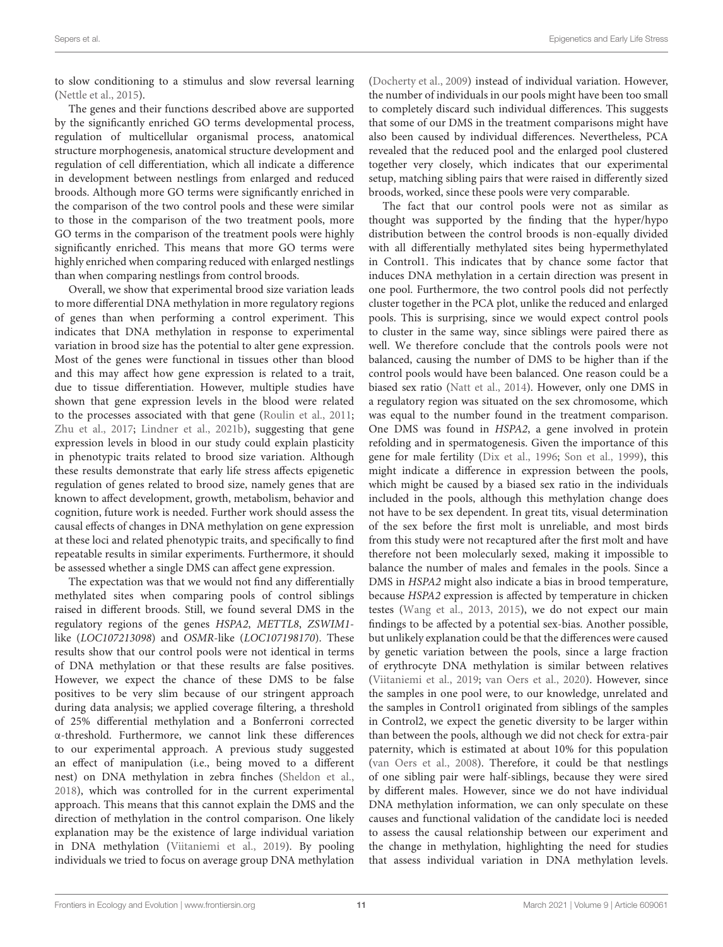to slow conditioning to a stimulus and slow reversal learning [\(Nettle et al.,](#page-13-20) [2015\)](#page-13-20).

The genes and their functions described above are supported by the significantly enriched GO terms developmental process, regulation of multicellular organismal process, anatomical structure morphogenesis, anatomical structure development and regulation of cell differentiation, which all indicate a difference in development between nestlings from enlarged and reduced broods. Although more GO terms were significantly enriched in the comparison of the two control pools and these were similar to those in the comparison of the two treatment pools, more GO terms in the comparison of the treatment pools were highly significantly enriched. This means that more GO terms were highly enriched when comparing reduced with enlarged nestlings than when comparing nestlings from control broods.

Overall, we show that experimental brood size variation leads to more differential DNA methylation in more regulatory regions of genes than when performing a control experiment. This indicates that DNA methylation in response to experimental variation in brood size has the potential to alter gene expression. Most of the genes were functional in tissues other than blood and this may affect how gene expression is related to a trait, due to tissue differentiation. However, multiple studies have shown that gene expression levels in the blood were related to the processes associated with that gene [\(Roulin et al.,](#page-13-36) [2011;](#page-13-36) [Zhu et al.,](#page-14-25) [2017;](#page-14-25) [Lindner et al.,](#page-13-33) [2021b\)](#page-13-33), suggesting that gene expression levels in blood in our study could explain plasticity in phenotypic traits related to brood size variation. Although these results demonstrate that early life stress affects epigenetic regulation of genes related to brood size, namely genes that are known to affect development, growth, metabolism, behavior and cognition, future work is needed. Further work should assess the causal effects of changes in DNA methylation on gene expression at these loci and related phenotypic traits, and specifically to find repeatable results in similar experiments. Furthermore, it should be assessed whether a single DMS can affect gene expression.

The expectation was that we would not find any differentially methylated sites when comparing pools of control siblings raised in different broods. Still, we found several DMS in the regulatory regions of the genes HSPA2, METTL8, ZSWIM1 like (LOC107213098) and OSMR-like (LOC107198170). These results show that our control pools were not identical in terms of DNA methylation or that these results are false positives. However, we expect the chance of these DMS to be false positives to be very slim because of our stringent approach during data analysis; we applied coverage filtering, a threshold of 25% differential methylation and a Bonferroni corrected α-threshold. Furthermore, we cannot link these differences to our experimental approach. A previous study suggested an effect of manipulation (i.e., being moved to a different nest) on DNA methylation in zebra finches [\(Sheldon et al.,](#page-14-10) [2018\)](#page-14-10), which was controlled for in the current experimental approach. This means that this cannot explain the DMS and the direction of methylation in the control comparison. One likely explanation may be the existence of large individual variation in DNA methylation [\(Viitaniemi et al.,](#page-14-14) [2019\)](#page-14-14). By pooling individuals we tried to focus on average group DNA methylation

[\(Docherty et al.,](#page-12-25) [2009\)](#page-12-25) instead of individual variation. However, the number of individuals in our pools might have been too small to completely discard such individual differences. This suggests that some of our DMS in the treatment comparisons might have also been caused by individual differences. Nevertheless, PCA revealed that the reduced pool and the enlarged pool clustered together very closely, which indicates that our experimental setup, matching sibling pairs that were raised in differently sized broods, worked, since these pools were very comparable.

The fact that our control pools were not as similar as thought was supported by the finding that the hyper/hypo distribution between the control broods is non-equally divided with all differentially methylated sites being hypermethylated in Control1. This indicates that by chance some factor that induces DNA methylation in a certain direction was present in one pool. Furthermore, the two control pools did not perfectly cluster together in the PCA plot, unlike the reduced and enlarged pools. This is surprising, since we would expect control pools to cluster in the same way, since siblings were paired there as well. We therefore conclude that the controls pools were not balanced, causing the number of DMS to be higher than if the control pools would have been balanced. One reason could be a biased sex ratio [\(Natt et al.,](#page-13-37) [2014\)](#page-13-37). However, only one DMS in a regulatory region was situated on the sex chromosome, which was equal to the number found in the treatment comparison. One DMS was found in HSPA2, a gene involved in protein refolding and in spermatogenesis. Given the importance of this gene for male fertility [\(Dix et al.,](#page-12-40) [1996;](#page-12-40) [Son et al.,](#page-14-26) [1999\)](#page-14-26), this might indicate a difference in expression between the pools, which might be caused by a biased sex ratio in the individuals included in the pools, although this methylation change does not have to be sex dependent. In great tits, visual determination of the sex before the first molt is unreliable, and most birds from this study were not recaptured after the first molt and have therefore not been molecularly sexed, making it impossible to balance the number of males and females in the pools. Since a DMS in HSPA2 might also indicate a bias in brood temperature, because HSPA2 expression is affected by temperature in chicken testes [\(Wang et al.,](#page-14-27) [2013,](#page-14-27) [2015\)](#page-14-28), we do not expect our main findings to be affected by a potential sex-bias. Another possible, but unlikely explanation could be that the differences were caused by genetic variation between the pools, since a large fraction of erythrocyte DNA methylation is similar between relatives [\(Viitaniemi et al.,](#page-14-14) [2019;](#page-14-14) [van Oers et al.,](#page-14-15) [2020\)](#page-14-15). However, since the samples in one pool were, to our knowledge, unrelated and the samples in Control1 originated from siblings of the samples in Control2, we expect the genetic diversity to be larger within than between the pools, although we did not check for extra-pair paternity, which is estimated at about 10% for this population [\(van Oers et al.,](#page-14-29) [2008\)](#page-14-29). Therefore, it could be that nestlings of one sibling pair were half-siblings, because they were sired by different males. However, since we do not have individual DNA methylation information, we can only speculate on these causes and functional validation of the candidate loci is needed to assess the causal relationship between our experiment and the change in methylation, highlighting the need for studies that assess individual variation in DNA methylation levels.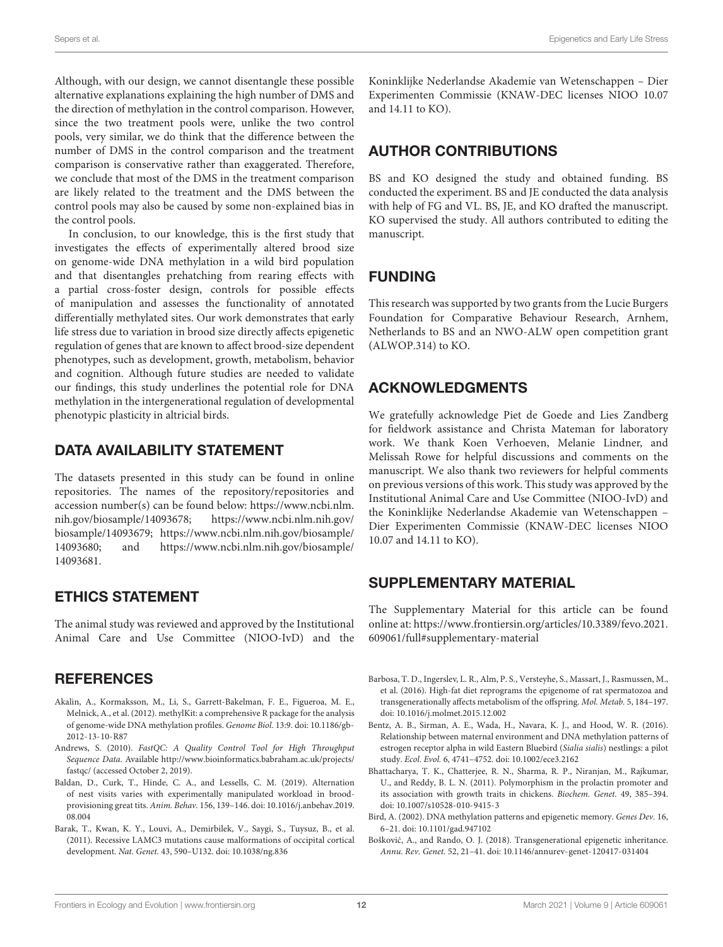Although, with our design, we cannot disentangle these possible alternative explanations explaining the high number of DMS and the direction of methylation in the control comparison. However, since the two treatment pools were, unlike the two control pools, very similar, we do think that the difference between the number of DMS in the control comparison and the treatment comparison is conservative rather than exaggerated. Therefore, we conclude that most of the DMS in the treatment comparison are likely related to the treatment and the DMS between the control pools may also be caused by some non-explained bias in the control pools.

In conclusion, to our knowledge, this is the first study that investigates the effects of experimentally altered brood size on genome-wide DNA methylation in a wild bird population and that disentangles prehatching from rearing effects with a partial cross-foster design, controls for possible effects of manipulation and assesses the functionality of annotated differentially methylated sites. Our work demonstrates that early life stress due to variation in brood size directly affects epigenetic regulation of genes that are known to affect brood-size dependent phenotypes, such as development, growth, metabolism, behavior and cognition. Although future studies are needed to validate our findings, this study underlines the potential role for DNA methylation in the intergenerational regulation of developmental phenotypic plasticity in altricial birds.

### DATA AVAILABILITY STATEMENT

The datasets presented in this study can be found in online repositories. The names of the repository/repositories and accession number(s) can be found below: [https://www.ncbi.nlm.](https://www.ncbi.nlm.nih.gov/biosample/14093678) [nih.gov/biosample/14093678;](https://www.ncbi.nlm.nih.gov/biosample/14093678) [https://www.ncbi.nlm.nih.gov/](https://www.ncbi.nlm.nih.gov/biosample/14093679) [biosample/14093679;](https://www.ncbi.nlm.nih.gov/biosample/14093679) [https://www.ncbi.nlm.nih.gov/biosample/](https://www.ncbi.nlm.nih.gov/biosample/14093680) [14093680;](https://www.ncbi.nlm.nih.gov/biosample/14093680) and [https://www.ncbi.nlm.nih.gov/biosample/](https://www.ncbi.nlm.nih.gov/biosample/14093681) [14093681.](https://www.ncbi.nlm.nih.gov/biosample/14093681)

### ETHICS STATEMENT

The animal study was reviewed and approved by the Institutional Animal Care and Use Committee (NIOO-IvD) and the

### **REFERENCES**

- <span id="page-11-6"></span>Akalin, A., Kormaksson, M., Li, S., Garrett-Bakelman, F. E., Figueroa, M. E., Melnick, A., et al. (2012). methylKit: a comprehensive R package for the analysis of genome-wide DNA methylation profiles. Genome Biol. 13:9. [doi: 10.1186/gb-](https://doi.org/10.1186/gb-2012-13-10-R87)[2012-13-10-R87](https://doi.org/10.1186/gb-2012-13-10-R87)
- <span id="page-11-5"></span>Andrews, S. (2010). FastQC: A Quality Control Tool for High Throughput Sequence Data. Available [http://www.bioinformatics.babraham.ac.uk/projects/](http://www.bioinformatics.babraham.ac.uk/projects/fastqc/) fastgc/ (accessed October 2, 2019).
- <span id="page-11-3"></span>Baldan, D., Curk, T., Hinde, C. A., and Lessells, C. M. (2019). Alternation of nest visits varies with experimentally manipulated workload in broodprovisioning great tits. Anim. Behav. 156, 139–146. [doi: 10.1016/j.anbehav.2019.](https://doi.org/10.1016/j.anbehav.2019.08.004) [08.004](https://doi.org/10.1016/j.anbehav.2019.08.004)
- <span id="page-11-7"></span>Barak, T., Kwan, K. Y., Louvi, A., Demirbilek, V., Saygi, S., Tuysuz, B., et al. (2011). Recessive LAMC3 mutations cause malformations of occipital cortical development. Nat. Genet. 43, 590–U132. [doi: 10.1038/ng.836](https://doi.org/10.1038/ng.836)

Koninklijke Nederlandse Akademie van Wetenschappen – Dier Experimenten Commissie (KNAW-DEC licenses NIOO 10.07 and 14.11 to KO).

# AUTHOR CONTRIBUTIONS

BS and KO designed the study and obtained funding. BS conducted the experiment. BS and JE conducted the data analysis with help of FG and VL. BS, JE, and KO drafted the manuscript. KO supervised the study. All authors contributed to editing the manuscript.

# FUNDING

This research was supported by two grants from the Lucie Burgers Foundation for Comparative Behaviour Research, Arnhem, Netherlands to BS and an NWO-ALW open competition grant (ALWOP.314) to KO.

# ACKNOWLEDGMENTS

We gratefully acknowledge Piet de Goede and Lies Zandberg for fieldwork assistance and Christa Mateman for laboratory work. We thank Koen Verhoeven, Melanie Lindner, and Melissah Rowe for helpful discussions and comments on the manuscript. We also thank two reviewers for helpful comments on previous versions of this work. This study was approved by the Institutional Animal Care and Use Committee (NIOO-IvD) and the Koninklijke Nederlandse Akademie van Wetenschappen – Dier Experimenten Commissie (KNAW-DEC licenses NIOO 10.07 and 14.11 to KO).

## <span id="page-11-4"></span>SUPPLEMENTARY MATERIAL

The Supplementary Material for this article can be found online at: [https://www.frontiersin.org/articles/10.3389/fevo.2021.](https://www.frontiersin.org/articles/10.3389/fevo.2021.609061/full#supplementary-material) [609061/full#supplementary-material](https://www.frontiersin.org/articles/10.3389/fevo.2021.609061/full#supplementary-material)

- <span id="page-11-9"></span>Barbosa, T. D., Ingerslev, L. R., Alm, P. S., Versteyhe, S., Massart, J., Rasmussen, M., et al. (2016). High-fat diet reprograms the epigenome of rat spermatozoa and transgenerationally affects metabolism of the offspring. Mol. Metab. 5, 184–197. [doi: 10.1016/j.molmet.2015.12.002](https://doi.org/10.1016/j.molmet.2015.12.002)
- <span id="page-11-0"></span>Bentz, A. B., Sirman, A. E., Wada, H., Navara, K. J., and Hood, W. R. (2016). Relationship between maternal environment and DNA methylation patterns of estrogen receptor alpha in wild Eastern Bluebird (Sialia sialis) nestlings: a pilot study. Ecol. Evol. 6, 4741–4752. [doi: 10.1002/ece3.2162](https://doi.org/10.1002/ece3.2162)
- <span id="page-11-8"></span>Bhattacharya, T. K., Chatterjee, R. N., Sharma, R. P., Niranjan, M., Rajkumar, U., and Reddy, B. L. N. (2011). Polymorphism in the prolactin promoter and its association with growth traits in chickens. Biochem. Genet. 49, 385–394. [doi: 10.1007/s10528-010-9415-3](https://doi.org/10.1007/s10528-010-9415-3)
- <span id="page-11-2"></span>Bird, A. (2002). DNA methylation patterns and epigenetic memory. Genes Dev. 16, 6–21. [doi: 10.1101/gad.947102](https://doi.org/10.1101/gad.947102)
- <span id="page-11-1"></span>Bošković, A., and Rando, O. J. (2018). Transgenerational epigenetic inheritance. Annu. Rev. Genet. 52, 21–41. [doi: 10.1146/annurev-genet-120417-031404](https://doi.org/10.1146/annurev-genet-120417-031404)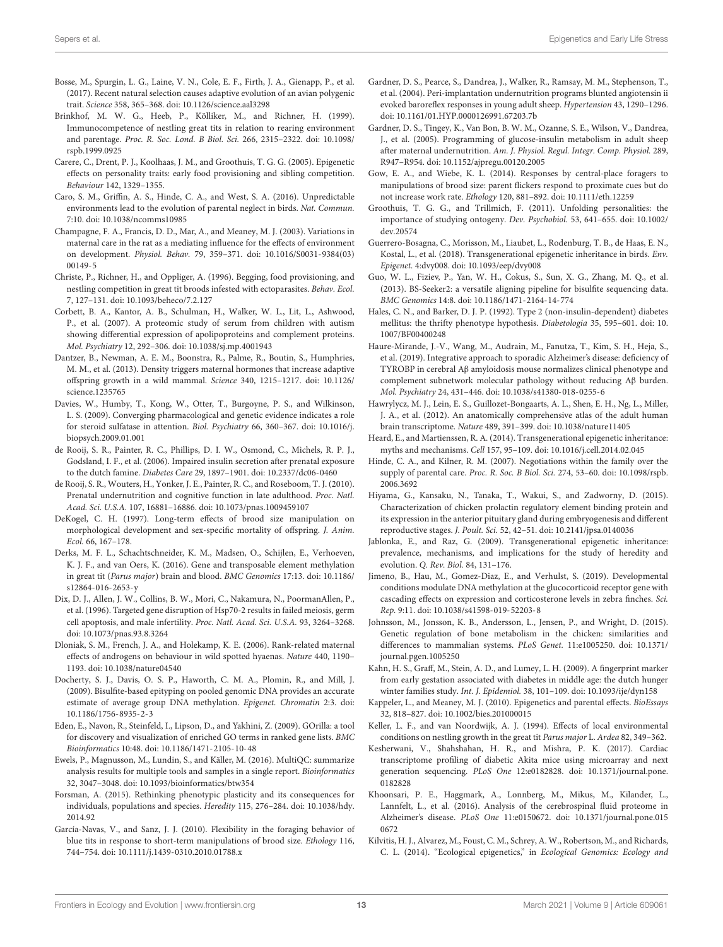- <span id="page-12-23"></span>Bosse, M., Spurgin, L. G., Laine, V. N., Cole, E. F., Firth, J. A., Gienapp, P., et al. (2017). Recent natural selection causes adaptive evolution of an avian polygenic trait. Science 358, 365–368. [doi: 10.1126/science.aal3298](https://doi.org/10.1126/science.aal3298)
- <span id="page-12-21"></span>Brinkhof, M. W. G., Heeb, P., Kölliker, M., and Richner, H. (1999). Immunocompetence of nestling great tits in relation to rearing environment and parentage. Proc. R. Soc. Lond. B Biol. Sci. 266, 2315–2322. [doi: 10.1098/](https://doi.org/10.1098/rspb.1999.0925) [rspb.1999.0925](https://doi.org/10.1098/rspb.1999.0925)
- <span id="page-12-7"></span>Carere, C., Drent, P. J., Koolhaas, J. M., and Groothuis, T. G. G. (2005). Epigenetic effects on personality traits: early food provisioning and sibling competition. Behaviour 142, 1329–1355.
- <span id="page-12-18"></span>Caro, S. M., Griffin, A. S., Hinde, C. A., and West, S. A. (2016). Unpredictable environments lead to the evolution of parental neglect in birds. Nat. Commun. 7:10. [doi: 10.1038/ncomms10985](https://doi.org/10.1038/ncomms10985)
- <span id="page-12-4"></span>Champagne, F. A., Francis, D. D., Mar, A., and Meaney, M. J. (2003). Variations in maternal care in the rat as a mediating influence for the effects of environment on development. Physiol. Behav. 79, 359–371. [doi: 10.1016/S0031-9384\(03\)](https://doi.org/10.1016/S0031-9384(03)00149-5) [00149-5](https://doi.org/10.1016/S0031-9384(03)00149-5)
- <span id="page-12-17"></span>Christe, P., Richner, H., and Oppliger, A. (1996). Begging, food provisioning, and nestling competition in great tit broods infested with ectoparasites. Behav. Ecol. 7, 127–131. [doi: 10.1093/beheco/7.2.127](https://doi.org/10.1093/beheco/7.2.127)
- <span id="page-12-38"></span>Corbett, B. A., Kantor, A. B., Schulman, H., Walker, W. L., Lit, L., Ashwood, P., et al. (2007). A proteomic study of serum from children with autism showing differential expression of apolipoproteins and complement proteins. Mol. Psychiatry 12, 292–306. [doi: 10.1038/sj.mp.4001943](https://doi.org/10.1038/sj.mp.4001943)
- <span id="page-12-5"></span>Dantzer, B., Newman, A. E. M., Boonstra, R., Palme, R., Boutin, S., Humphries, M. M., et al. (2013). Density triggers maternal hormones that increase adaptive offspring growth in a wild mammal. Science 340, 1215–1217. [doi: 10.1126/](https://doi.org/10.1126/science.1235765) [science.1235765](https://doi.org/10.1126/science.1235765)
- <span id="page-12-39"></span>Davies, W., Humby, T., Kong, W., Otter, T., Burgoyne, P. S., and Wilkinson, L. S. (2009). Converging pharmacological and genetic evidence indicates a role for steroid sulfatase in attention. Biol. Psychiatry 66, 360–367. [doi: 10.1016/j.](https://doi.org/10.1016/j.biopsych.2009.01.001) [biopsych.2009.01.001](https://doi.org/10.1016/j.biopsych.2009.01.001)
- <span id="page-12-1"></span>de Rooij, S. R., Painter, R. C., Phillips, D. I. W., Osmond, C., Michels, R. P. J., Godsland, I. F., et al. (2006). Impaired insulin secretion after prenatal exposure to the dutch famine. Diabetes Care 29, 1897–1901. [doi: 10.2337/dc06-0460](https://doi.org/10.2337/dc06-0460)
- <span id="page-12-3"></span>de Rooij, S. R., Wouters, H., Yonker, J. E., Painter, R. C., and Roseboom, T. J. (2010). Prenatal undernutrition and cognitive function in late adulthood. Proc. Natl. Acad. Sci. U.S.A. 107, 16881–16886. [doi: 10.1073/pnas.1009459107](https://doi.org/10.1073/pnas.1009459107)
- <span id="page-12-9"></span>DeKogel, C. H. (1997). Long-term effects of brood size manipulation on morphological development and sex-specific mortality of offspring. J. Anim. Ecol. 66, 167–178.
- <span id="page-12-24"></span>Derks, M. F. L., Schachtschneider, K. M., Madsen, O., Schijlen, E., Verhoeven, K. J. F., and van Oers, K. (2016). Gene and transposable element methylation in great tit (Parus major) brain and blood. BMC Genomics 17:13. [doi: 10.1186/](https://doi.org/10.1186/s12864-016-2653-y) [s12864-016-2653-y](https://doi.org/10.1186/s12864-016-2653-y)
- <span id="page-12-40"></span>Dix, D. J., Allen, J. W., Collins, B. W., Mori, C., Nakamura, N., PoormanAllen, P., et al. (1996). Targeted gene disruption of Hsp70-2 results in failed meiosis, germ cell apoptosis, and male infertility. Proc. Natl. Acad. Sci. U.S.A. 93, 3264–3268. [doi: 10.1073/pnas.93.8.3264](https://doi.org/10.1073/pnas.93.8.3264)
- <span id="page-12-6"></span>Dloniak, S. M., French, J. A., and Holekamp, K. E. (2006). Rank-related maternal effects of androgens on behaviour in wild spotted hyaenas. Nature 440, 1190– 1193. [doi: 10.1038/nature04540](https://doi.org/10.1038/nature04540)
- <span id="page-12-25"></span>Docherty, S. J., Davis, O. S. P., Haworth, C. M. A., Plomin, R., and Mill, J. (2009). Bisulfite-based epityping on pooled genomic DNA provides an accurate estimate of average group DNA methylation. Epigenet. Chromatin 2:3. [doi:](https://doi.org/10.1186/1756-8935-2-3) [10.1186/1756-8935-2-3](https://doi.org/10.1186/1756-8935-2-3)
- <span id="page-12-28"></span>Eden, E., Navon, R., Steinfeld, I., Lipson, D., and Yakhini, Z. (2009). GOrilla: a tool for discovery and visualization of enriched GO terms in ranked gene lists. BMC Bioinformatics 10:48. [doi: 10.1186/1471-2105-10-48](https://doi.org/10.1186/1471-2105-10-48)
- <span id="page-12-26"></span>Ewels, P., Magnusson, M., Lundin, S., and Käller, M. (2016). MultiQC: summarize analysis results for multiple tools and samples in a single report. Bioinformatics 32, 3047–3048. [doi: 10.1093/bioinformatics/btw354](https://doi.org/10.1093/bioinformatics/btw354)
- <span id="page-12-0"></span>Forsman, A. (2015). Rethinking phenotypic plasticity and its consequences for individuals, populations and species. Heredity 115, 276–284. [doi: 10.1038/hdy.](https://doi.org/10.1038/hdy.2014.92) [2014.92](https://doi.org/10.1038/hdy.2014.92)
- <span id="page-12-16"></span>García-Navas, V., and Sanz, J. J. (2010). Flexibility in the foraging behavior of blue tits in response to short-term manipulations of brood size. Ethology 116, 744–754. [doi: 10.1111/j.1439-0310.2010.01788.x](https://doi.org/10.1111/j.1439-0310.2010.01788.x)
- <span id="page-12-34"></span>Gardner, D. S., Pearce, S., Dandrea, J., Walker, R., Ramsay, M. M., Stephenson, T., et al. (2004). Peri-implantation undernutrition programs blunted angiotensin ii evoked baroreflex responses in young adult sheep. Hypertension 43, 1290–1296. [doi: 10.1161/01.HYP.0000126991.67203.7b](https://doi.org/10.1161/01.HYP.0000126991.67203.7b)
- <span id="page-12-33"></span>Gardner, D. S., Tingey, K., Van Bon, B. W. M., Ozanne, S. E., Wilson, V., Dandrea, J., et al. (2005). Programming of glucose-insulin metabolism in adult sheep after maternal undernutrition. Am. J. Physiol. Regul. Integr. Comp. Physiol. 289, R947–R954. [doi: 10.1152/ajpregu.00120.2005](https://doi.org/10.1152/ajpregu.00120.2005)
- <span id="page-12-19"></span>Gow, E. A., and Wiebe, K. L. (2014). Responses by central-place foragers to manipulations of brood size: parent flickers respond to proximate cues but do not increase work rate. Ethology 120, 881–892. [doi: 10.1111/eth.12259](https://doi.org/10.1111/eth.12259)
- <span id="page-12-14"></span>Groothuis, T. G. G., and Trillmich, F. (2011). Unfolding personalities: the importance of studying ontogeny. Dev. Psychobiol. 53, 641–655. [doi: 10.1002/](https://doi.org/10.1002/dev.20574) [dev.20574](https://doi.org/10.1002/dev.20574)
- <span id="page-12-12"></span>Guerrero-Bosagna, C., Morisson, M., Liaubet, L., Rodenburg, T. B., de Haas, E. N., Kostal, L., et al. (2018). Transgenerational epigenetic inheritance in birds. Env. Epigenet. 4:dvy008. [doi: 10.1093/eep/dvy008](https://doi.org/10.1093/eep/dvy008)
- <span id="page-12-27"></span>Guo, W. L., Fiziev, P., Yan, W. H., Cokus, S., Sun, X. G., Zhang, M. Q., et al. (2013). BS-Seeker2: a versatile aligning pipeline for bisulfite sequencing data. BMC Genomics 14:8. [doi: 10.1186/1471-2164-14-774](https://doi.org/10.1186/1471-2164-14-774)
- <span id="page-12-35"></span>Hales, C. N., and Barker, D. J. P. (1992). Type 2 (non-insulin-dependent) diabetes mellitus: the thrifty phenotype hypothesis. Diabetologia 35, 595–601. [doi: 10.](https://doi.org/10.1007/BF00400248) [1007/BF00400248](https://doi.org/10.1007/BF00400248)
- <span id="page-12-37"></span>Haure-Mirande, J.-V., Wang, M., Audrain, M., Fanutza, T., Kim, S. H., Heja, S., et al. (2019). Integrative approach to sporadic Alzheimer's disease: deficiency of TYROBP in cerebral Aβ amyloidosis mouse normalizes clinical phenotype and complement subnetwork molecular pathology without reducing Aβ burden. Mol. Psychiatry 24, 431–446. [doi: 10.1038/s41380-018-0255-6](https://doi.org/10.1038/s41380-018-0255-6)
- <span id="page-12-29"></span>Hawrylycz, M. J., Lein, E. S., Guillozet-Bongaarts, A. L., Shen, E. H., Ng, L., Miller, J. A., et al. (2012). An anatomically comprehensive atlas of the adult human brain transcriptome. Nature 489, 391–399. [doi: 10.1038/nature11405](https://doi.org/10.1038/nature11405)
- <span id="page-12-11"></span>Heard, E., and Martienssen, R. A. (2014). Transgenerational epigenetic inheritance: myths and mechanisms. Cell 157, 95–109. [doi: 10.1016/j.cell.2014.02.045](https://doi.org/10.1016/j.cell.2014.02.045)
- <span id="page-12-20"></span>Hinde, C. A., and Kilner, R. M. (2007). Negotiations within the family over the supply of parental care. Proc. R. Soc. B Biol. Sci. 274, 53–60. [doi: 10.1098/rspb.](https://doi.org/10.1098/rspb.2006.3692) [2006.3692](https://doi.org/10.1098/rspb.2006.3692)
- <span id="page-12-31"></span>Hiyama, G., Kansaku, N., Tanaka, T., Wakui, S., and Zadworny, D. (2015). Characterization of chicken prolactin regulatory element binding protein and its expression in the anterior pituitary gland during embryogenesis and different reproductive stages. J. Poult. Sci. 52, 42–51. [doi: 10.2141/jpsa.0140036](https://doi.org/10.2141/jpsa.0140036)
- <span id="page-12-10"></span>Jablonka, E., and Raz, G. (2009). Transgenerational epigenetic inheritance: prevalence, mechanisms, and implications for the study of heredity and evolution. Q. Rev. Biol. 84, 131–176.
- <span id="page-12-22"></span>Jimeno, B., Hau, M., Gomez-Diaz, E., and Verhulst, S. (2019). Developmental conditions modulate DNA methylation at the glucocorticoid receptor gene with cascading effects on expression and corticosterone levels in zebra finches. Sci. Rep. 9:11. [doi: 10.1038/s41598-019-52203-8](https://doi.org/10.1038/s41598-019-52203-8)
- <span id="page-12-30"></span>Johnsson, M., Jonsson, K. B., Andersson, L., Jensen, P., and Wright, D. (2015). Genetic regulation of bone metabolism in the chicken: similarities and differences to mammalian systems. PLoS Genet. 11:e1005250. [doi: 10.1371/](https://doi.org/10.1371/journal.pgen.1005250) [journal.pgen.1005250](https://doi.org/10.1371/journal.pgen.1005250)
- <span id="page-12-2"></span>Kahn, H. S., Graff, M., Stein, A. D., and Lumey, L. H. (2009). A fingerprint marker from early gestation associated with diabetes in middle age: the dutch hunger winter families study. Int. J. Epidemiol. 38, 101–109. [doi: 10.1093/ije/dyn158](https://doi.org/10.1093/ije/dyn158)
- <span id="page-12-13"></span>Kappeler, L., and Meaney, M. J. (2010). Epigenetics and parental effects. BioEssays 32, 818–827. [doi: 10.1002/bies.201000015](https://doi.org/10.1002/bies.201000015)
- <span id="page-12-8"></span>Keller, L. F., and van Noordwijk, A. J. (1994). Effects of local environmental conditions on nestling growth in the great tit Parus major L. Ardea 82, 349–362.
- <span id="page-12-32"></span>Kesherwani, V., Shahshahan, H. R., and Mishra, P. K. (2017). Cardiac transcriptome profiling of diabetic Akita mice using microarray and next generation sequencing. PLoS One 12:e0182828. [doi: 10.1371/journal.pone.](https://doi.org/10.1371/journal.pone.0182828) [0182828](https://doi.org/10.1371/journal.pone.0182828)
- <span id="page-12-36"></span>Khoonsari, P. E., Haggmark, A., Lonnberg, M., Mikus, M., Kilander, L., Lannfelt, L., et al. (2016). Analysis of the cerebrospinal fluid proteome in Alzheimer's disease. PLoS One 11:e0150672. [doi: 10.1371/journal.pone.015](https://doi.org/10.1371/journal.pone.0150672) [0672](https://doi.org/10.1371/journal.pone.0150672)
- <span id="page-12-15"></span>Kilvitis, H. J., Alvarez, M., Foust, C. M., Schrey, A. W., Robertson, M., and Richards, C. L. (2014). "Ecological epigenetics," in Ecological Genomics: Ecology and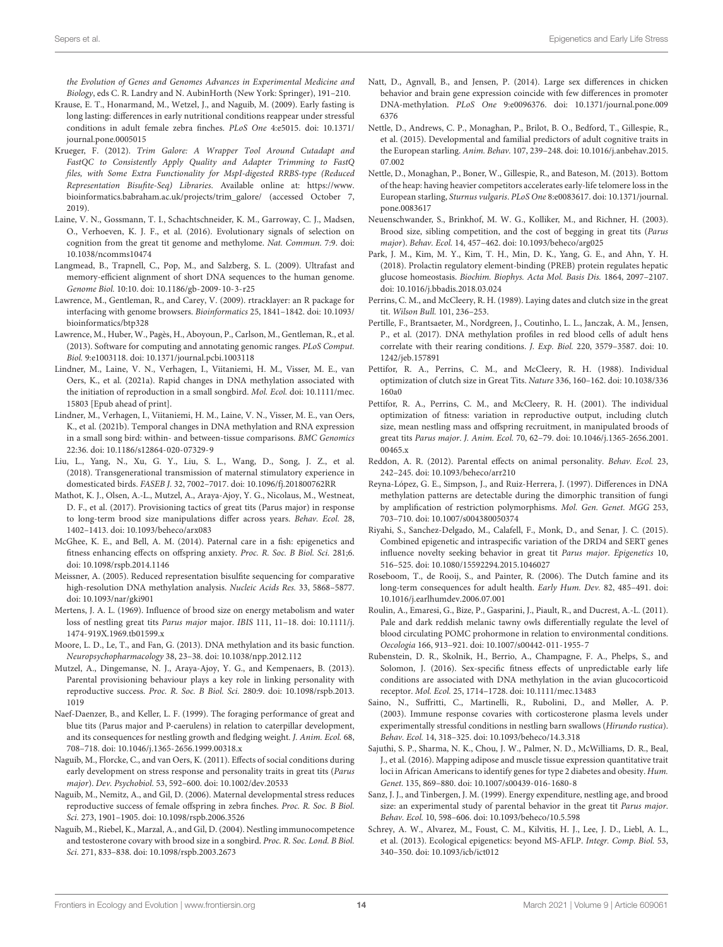the Evolution of Genes and Genomes Advances in Experimental Medicine and Biology, eds C. R. Landry and N. AubinHorth (New York: Springer), 191–210.

- <span id="page-13-21"></span>Krause, E. T., Honarmand, M., Wetzel, J., and Naguib, M. (2009). Early fasting is long lasting: differences in early nutritional conditions reappear under stressful conditions in adult female zebra finches. PLoS One 4:e5015. [doi: 10.1371/](https://doi.org/10.1371/journal.pone.0005015) [journal.pone.0005015](https://doi.org/10.1371/journal.pone.0005015)
- <span id="page-13-29"></span>Krueger, F. (2012). Trim Galore: A Wrapper Tool Around Cutadapt and FastQC to Consistently Apply Quality and Adapter Trimming to FastQ files, with Some Extra Functionality for MspI-digested RRBS-type (Reduced Representation Bisufite-Seq) Libraries. Available online at: [https://www.](https://www.bioinformatics.babraham.ac.uk/projects/trim_galore/) [bioinformatics.babraham.ac.uk/projects/trim\\_galore/](https://www.bioinformatics.babraham.ac.uk/projects/trim_galore/) (accessed October 7, 2019).
- <span id="page-13-25"></span>Laine, V. N., Gossmann, T. I., Schachtschneider, K. M., Garroway, C. J., Madsen, O., Verhoeven, K. J. F., et al. (2016). Evolutionary signals of selection on cognition from the great tit genome and methylome. Nat. Commun. 7:9. [doi:](https://doi.org/10.1038/ncomms10474) [10.1038/ncomms10474](https://doi.org/10.1038/ncomms10474)
- <span id="page-13-30"></span>Langmead, B., Trapnell, C., Pop, M., and Salzberg, S. L. (2009). Ultrafast and memory-efficient alignment of short DNA sequences to the human genome. Genome Biol. 10:10. [doi: 10.1186/gb-2009-10-3-r25](https://doi.org/10.1186/gb-2009-10-3-r25)
- <span id="page-13-32"></span>Lawrence, M., Gentleman, R., and Carey, V. (2009). rtracklayer: an R package for interfacing with genome browsers. Bioinformatics 25, 1841–1842. [doi: 10.1093/](https://doi.org/10.1093/bioinformatics/btp328) [bioinformatics/btp328](https://doi.org/10.1093/bioinformatics/btp328)
- <span id="page-13-31"></span>Lawrence, M., Huber, W., Pagès, H., Aboyoun, P., Carlson, M., Gentleman, R., et al. (2013). Software for computing and annotating genomic ranges. PLoS Comput. Biol. 9:e1003118. [doi: 10.1371/journal.pcbi.1003118](https://doi.org/10.1371/journal.pcbi.1003118)
- <span id="page-13-27"></span>Lindner, M., Laine, V. N., Verhagen, I., Viitaniemi, H. M., Visser, M. E., van Oers, K., et al. (2021a). Rapid changes in DNA methylation associated with the initiation of reproduction in a small songbird. Mol. Ecol. [doi: 10.1111/mec.](https://doi.org/10.1111/mec.15803) [15803](https://doi.org/10.1111/mec.15803) [Epub ahead of print].
- <span id="page-13-33"></span>Lindner, M., Verhagen, I., Viitaniemi, H. M., Laine, V. N., Visser, M. E., van Oers, K., et al. (2021b). Temporal changes in DNA methylation and RNA expression in a small song bird: within- and between-tissue comparisons. BMC Genomics 22:36. [doi: 10.1186/s12864-020-07329-9](https://doi.org/10.1186/s12864-020-07329-9)
- <span id="page-13-5"></span>Liu, L., Yang, N., Xu, G. Y., Liu, S. L., Wang, D., Song, J. Z., et al. (2018). Transgenerational transmission of maternal stimulatory experience in domesticated birds. FASEB J. 32, 7002–7017. [doi: 10.1096/fj.201800762RR](https://doi.org/10.1096/fj.201800762RR)
- <span id="page-13-11"></span>Mathot, K. J., Olsen, A.-L., Mutzel, A., Araya-Ajoy, Y. G., Nicolaus, M., Westneat, D. F., et al. (2017). Provisioning tactics of great tits (Parus major) in response to long-term brood size manipulations differ across years. Behav. Ecol. 28, 1402–1413. [doi: 10.1093/beheco/arx083](https://doi.org/10.1093/beheco/arx083)
- <span id="page-13-7"></span>McGhee, K. E., and Bell, A. M. (2014). Paternal care in a fish: epigenetics and fitness enhancing effects on offspring anxiety. Proc. R. Soc. B Biol. Sci. 281;6. [doi: 10.1098/rspb.2014.1146](https://doi.org/10.1098/rspb.2014.1146)
- <span id="page-13-28"></span>Meissner, A. (2005). Reduced representation bisulfite sequencing for comparative high-resolution DNA methylation analysis. Nucleic Acids Res. 33, 5868–5877. [doi: 10.1093/nar/gki901](https://doi.org/10.1093/nar/gki901)
- <span id="page-13-17"></span>Mertens, J. A. L. (1969). Influence of brood size on energy metabolism and water loss of nestling great tits Parus major major. IBIS 111, 11–18. [doi: 10.1111/j.](https://doi.org/10.1111/j.1474-919X.1969.tb01599.x) [1474-919X.1969.tb01599.x](https://doi.org/10.1111/j.1474-919X.1969.tb01599.x)
- <span id="page-13-6"></span>Moore, L. D., Le, T., and Fan, G. (2013). DNA methylation and its basic function. Neuropsychopharmacology 38, 23–38. [doi: 10.1038/npp.2012.112](https://doi.org/10.1038/npp.2012.112)
- <span id="page-13-12"></span>Mutzel, A., Dingemanse, N. J., Araya-Ajoy, Y. G., and Kempenaers, B. (2013). Parental provisioning behaviour plays a key role in linking personality with reproductive success. Proc. R. Soc. B Biol. Sci. 280:9. [doi: 10.1098/rspb.2013.](https://doi.org/10.1098/rspb.2013.1019) [1019](https://doi.org/10.1098/rspb.2013.1019)
- <span id="page-13-2"></span>Naef-Daenzer, B., and Keller, L. F. (1999). The foraging performance of great and blue tits (Parus major and P-caerulens) in relation to caterpillar development, and its consequences for nestling growth and fledging weight. J. Anim. Ecol. 68, 708–718. [doi: 10.1046/j.1365-2656.1999.00318.x](https://doi.org/10.1046/j.1365-2656.1999.00318.x)
- <span id="page-13-19"></span>Naguib, M., Florcke, C., and van Oers, K. (2011). Effects of social conditions during early development on stress response and personality traits in great tits (Parus major). Dev. Psychobiol. 53, 592–600. [doi: 10.1002/dev.20533](https://doi.org/10.1002/dev.20533)
- <span id="page-13-3"></span>Naguib, M., Nemitz, A., and Gil, D. (2006). Maternal developmental stress reduces reproductive success of female offspring in zebra finches. Proc. R. Soc. B Biol. Sci. 273, 1901–1905. [doi: 10.1098/rspb.2006.3526](https://doi.org/10.1098/rspb.2006.3526)
- <span id="page-13-14"></span>Naguib, M., Riebel, K., Marzal, A., and Gil, D. (2004). Nestling immunocompetence and testosterone covary with brood size in a songbird. Proc. R. Soc. Lond. B Biol. Sci. 271, 833–838. [doi: 10.1098/rspb.2003.2673](https://doi.org/10.1098/rspb.2003.2673)
- <span id="page-13-37"></span>Natt, D., Agnvall, B., and Jensen, P. (2014). Large sex differences in chicken behavior and brain gene expression coincide with few differences in promoter DNA-methylation. PLoS One 9:e0096376. [doi: 10.1371/journal.pone.009](https://doi.org/10.1371/journal.pone.0096376) [6376](https://doi.org/10.1371/journal.pone.0096376)
- <span id="page-13-20"></span>Nettle, D., Andrews, C. P., Monaghan, P., Brilot, B. O., Bedford, T., Gillespie, R., et al. (2015). Developmental and familial predictors of adult cognitive traits in the European starling. Anim. Behav. 107, 239–248. [doi: 10.1016/j.anbehav.2015.](https://doi.org/10.1016/j.anbehav.2015.07.002) [07.002](https://doi.org/10.1016/j.anbehav.2015.07.002)
- <span id="page-13-15"></span>Nettle, D., Monaghan, P., Boner, W., Gillespie, R., and Bateson, M. (2013). Bottom of the heap: having heavier competitors accelerates early-life telomere loss in the European starling, Sturnus vulgaris. PLoS One 8:e0083617. [doi: 10.1371/journal.](https://doi.org/10.1371/journal.pone.0083617) [pone.0083617](https://doi.org/10.1371/journal.pone.0083617)
- <span id="page-13-13"></span>Neuenschwander, S., Brinkhof, M. W. G., Kolliker, M., and Richner, H. (2003). Brood size, sibling competition, and the cost of begging in great tits (Parus major). Behav. Ecol. 14, 457–462. [doi: 10.1093/beheco/arg025](https://doi.org/10.1093/beheco/arg025)
- <span id="page-13-34"></span>Park, J. M., Kim, M. Y., Kim, T. H., Min, D. K., Yang, G. E., and Ahn, Y. H. (2018). Prolactin regulatory element-binding (PREB) protein regulates hepatic glucose homeostasis. Biochim. Biophys. Acta Mol. Basis Dis. 1864, 2097–2107. [doi: 10.1016/j.bbadis.2018.03.024](https://doi.org/10.1016/j.bbadis.2018.03.024)
- <span id="page-13-10"></span>Perrins, C. M., and McCleery, R. H. (1989). Laying dates and clutch size in the great tit. Wilson Bull. 101, 236–253.
- <span id="page-13-4"></span>Pertille, F., Brantsaeter, M., Nordgreen, J., Coutinho, L. L., Janczak, A. M., Jensen, P., et al. (2017). DNA methylation profiles in red blood cells of adult hens correlate with their rearing conditions. J. Exp. Biol. 220, 3579–3587. [doi: 10.](https://doi.org/10.1242/jeb.157891) [1242/jeb.157891](https://doi.org/10.1242/jeb.157891)
- <span id="page-13-8"></span>Pettifor, R. A., Perrins, C. M., and McCleery, R. H. (1988). Individual optimization of clutch size in Great Tits. Nature 336, 160–162. [doi: 10.1038/336](https://doi.org/10.1038/336160a0) [160a0](https://doi.org/10.1038/336160a0)
- <span id="page-13-9"></span>Pettifor, R. A., Perrins, C. M., and McCleery, R. H. (2001). The individual optimization of fitness: variation in reproductive output, including clutch size, mean nestling mass and offspring recruitment, in manipulated broods of great tits Parus major. J. Anim. Ecol. 70, 62–79. [doi: 10.1046/j.1365-2656.2001.](https://doi.org/10.1046/j.1365-2656.2001.00465.x) [00465.x](https://doi.org/10.1046/j.1365-2656.2001.00465.x)
- <span id="page-13-1"></span>Reddon, A. R. (2012). Parental effects on animal personality. Behav. Ecol. 23, 242–245. [doi: 10.1093/beheco/arr210](https://doi.org/10.1093/beheco/arr210)
- <span id="page-13-23"></span>Reyna-López, G. E., Simpson, J., and Ruiz-Herrera, J. (1997). Differences in DNA methylation patterns are detectable during the dimorphic transition of fungi by amplification of restriction polymorphisms. Mol. Gen. Genet. MGG 253, 703–710. [doi: 10.1007/s004380050374](https://doi.org/10.1007/s004380050374)
- <span id="page-13-26"></span>Riyahi, S., Sanchez-Delgado, M., Calafell, F., Monk, D., and Senar, J. C. (2015). Combined epigenetic and intraspecific variation of the DRD4 and SERT genes influence novelty seeking behavior in great tit Parus major. Epigenetics 10, 516–525. [doi: 10.1080/15592294.2015.1046027](https://doi.org/10.1080/15592294.2015.1046027)
- <span id="page-13-0"></span>Roseboom, T., de Rooij, S., and Painter, R. (2006). The Dutch famine and its long-term consequences for adult health. Early Hum. Dev. 82, 485–491. [doi:](https://doi.org/10.1016/j.earlhumdev.2006.07.001) [10.1016/j.earlhumdev.2006.07.001](https://doi.org/10.1016/j.earlhumdev.2006.07.001)
- <span id="page-13-36"></span>Roulin, A., Emaresi, G., Bize, P., Gasparini, J., Piault, R., and Ducrest, A.-L. (2011). Pale and dark reddish melanic tawny owls differentially regulate the level of blood circulating POMC prohormone in relation to environmental conditions. Oecologia 166, 913–921. [doi: 10.1007/s00442-011-1955-7](https://doi.org/10.1007/s00442-011-1955-7)
- <span id="page-13-22"></span>Rubenstein, D. R., Skolnik, H., Berrio, A., Champagne, F. A., Phelps, S., and Solomon, J. (2016). Sex-specific fitness effects of unpredictable early life conditions are associated with DNA methylation in the avian glucocorticoid receptor. Mol. Ecol. 25, 1714–1728. [doi: 10.1111/mec.13483](https://doi.org/10.1111/mec.13483)
- <span id="page-13-18"></span>Saino, N., Suffritti, C., Martinelli, R., Rubolini, D., and Møller, A. P. (2003). Immune response covaries with corticosterone plasma levels under experimentally stressful conditions in nestling barn swallows (Hirundo rustica). Behav. Ecol. 14, 318–325. [doi: 10.1093/beheco/14.3.318](https://doi.org/10.1093/beheco/14.3.318)
- <span id="page-13-35"></span>Sajuthi, S. P., Sharma, N. K., Chou, J. W., Palmer, N. D., McWilliams, D. R., Beal, J., et al. (2016). Mapping adipose and muscle tissue expression quantitative trait loci in African Americans to identify genes for type 2 diabetes and obesity. Hum. Genet. 135, 869–880. [doi: 10.1007/s00439-016-1680-8](https://doi.org/10.1007/s00439-016-1680-8)
- <span id="page-13-16"></span>Sanz, J. J., and Tinbergen, J. M. (1999). Energy expenditure, nestling age, and brood size: an experimental study of parental behavior in the great tit Parus major. Behav. Ecol. 10, 598–606. [doi: 10.1093/beheco/10.5.598](https://doi.org/10.1093/beheco/10.5.598)
- <span id="page-13-24"></span>Schrey, A. W., Alvarez, M., Foust, C. M., Kilvitis, H. J., Lee, J. D., Liebl, A. L., et al. (2013). Ecological epigenetics: beyond MS-AFLP. Integr. Comp. Biol. 53, 340–350. [doi: 10.1093/icb/ict012](https://doi.org/10.1093/icb/ict012)